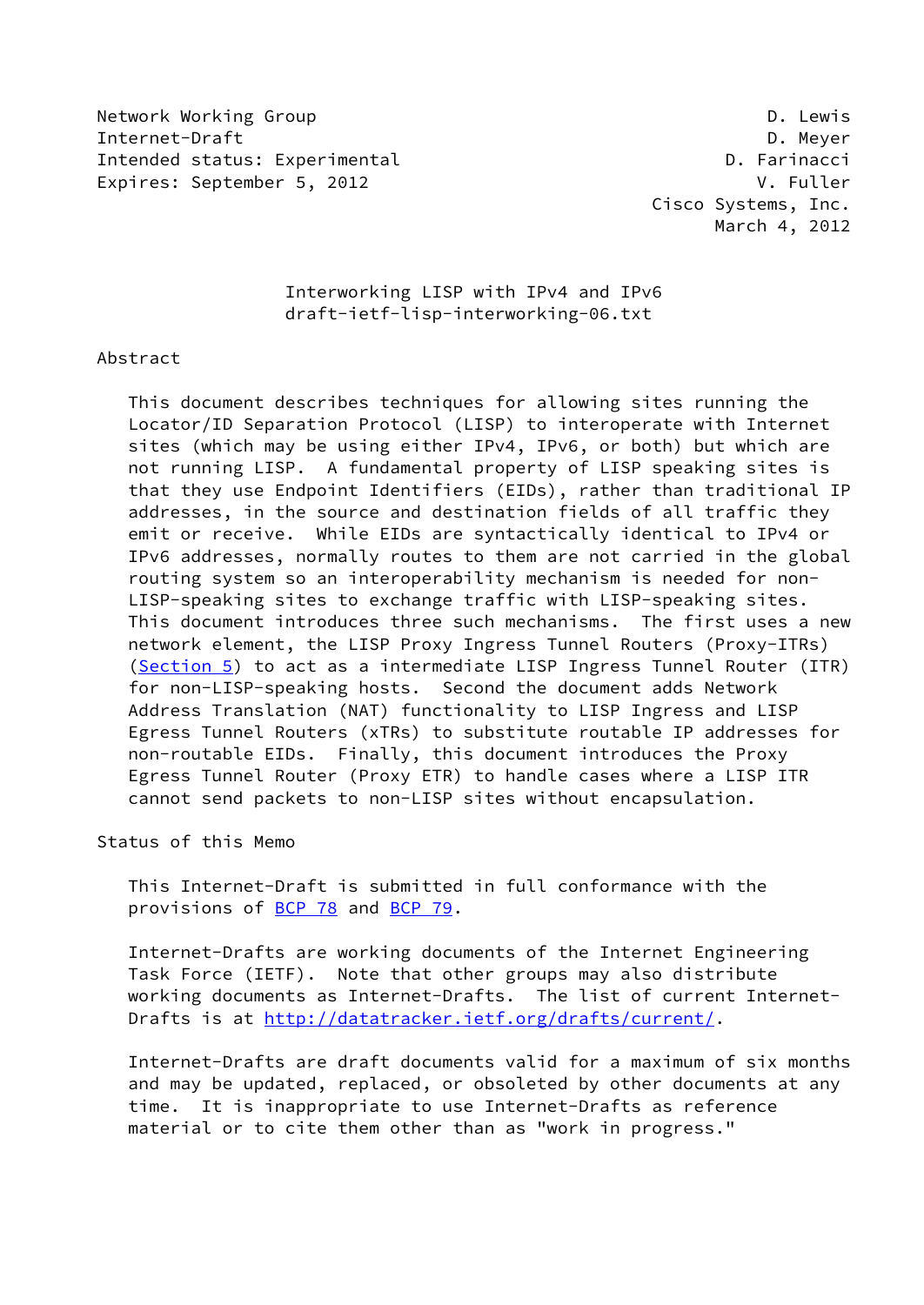Network Working Group Density Communication of the D. Lewis Internet-Draft **D. Meyer** D. Meyer Intended status: Experimental della controller controller controller probability of the D. Farinacci Expires: September 5, 2012 V. Fuller

 Cisco Systems, Inc. March 4, 2012

### Interworking LISP with IPv4 and IPv6 draft-ietf-lisp-interworking-06.txt

#### Abstract

 This document describes techniques for allowing sites running the Locator/ID Separation Protocol (LISP) to interoperate with Internet sites (which may be using either IPv4, IPv6, or both) but which are not running LISP. A fundamental property of LISP speaking sites is that they use Endpoint Identifiers (EIDs), rather than traditional IP addresses, in the source and destination fields of all traffic they emit or receive. While EIDs are syntactically identical to IPv4 or IPv6 addresses, normally routes to them are not carried in the global routing system so an interoperability mechanism is needed for non- LISP-speaking sites to exchange traffic with LISP-speaking sites. This document introduces three such mechanisms. The first uses a new network element, the LISP Proxy Ingress Tunnel Routers (Proxy-ITRs) [\(Section 5](#page-10-0)) to act as a intermediate LISP Ingress Tunnel Router (ITR) for non-LISP-speaking hosts. Second the document adds Network Address Translation (NAT) functionality to LISP Ingress and LISP Egress Tunnel Routers (xTRs) to substitute routable IP addresses for non-routable EIDs. Finally, this document introduces the Proxy Egress Tunnel Router (Proxy ETR) to handle cases where a LISP ITR cannot send packets to non-LISP sites without encapsulation.

Status of this Memo

 This Internet-Draft is submitted in full conformance with the provisions of [BCP 78](https://datatracker.ietf.org/doc/pdf/bcp78) and [BCP 79](https://datatracker.ietf.org/doc/pdf/bcp79).

 Internet-Drafts are working documents of the Internet Engineering Task Force (IETF). Note that other groups may also distribute working documents as Internet-Drafts. The list of current Internet- Drafts is at<http://datatracker.ietf.org/drafts/current/>.

 Internet-Drafts are draft documents valid for a maximum of six months and may be updated, replaced, or obsoleted by other documents at any time. It is inappropriate to use Internet-Drafts as reference material or to cite them other than as "work in progress."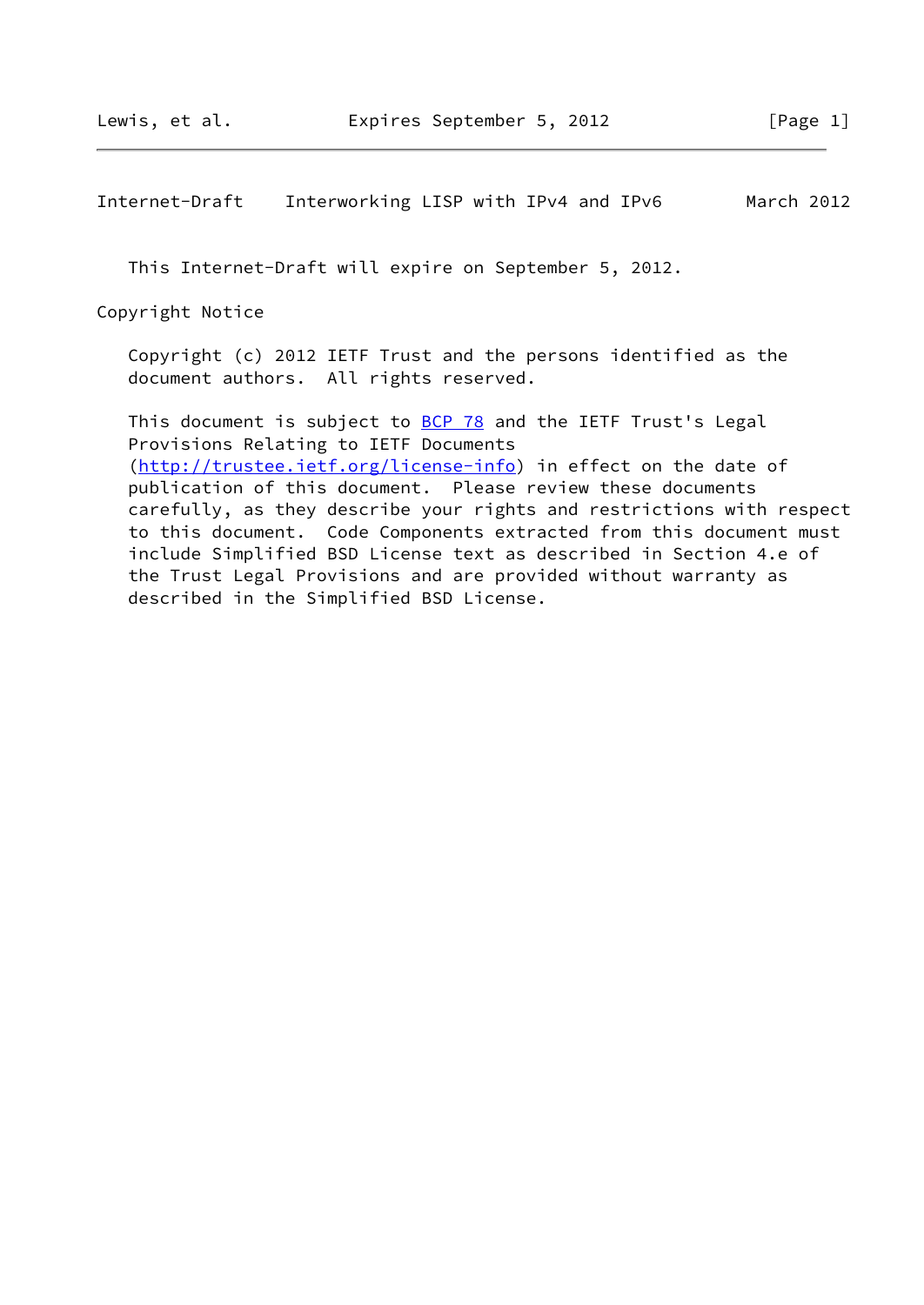This Internet-Draft will expire on September 5, 2012.

Copyright Notice

 Copyright (c) 2012 IETF Trust and the persons identified as the document authors. All rights reserved.

This document is subject to **[BCP 78](https://datatracker.ietf.org/doc/pdf/bcp78)** and the IETF Trust's Legal Provisions Relating to IETF Documents [\(http://trustee.ietf.org/license-info](http://trustee.ietf.org/license-info)) in effect on the date of publication of this document. Please review these documents carefully, as they describe your rights and restrictions with respect to this document. Code Components extracted from this document must include Simplified BSD License text as described in Section 4.e of the Trust Legal Provisions and are provided without warranty as described in the Simplified BSD License.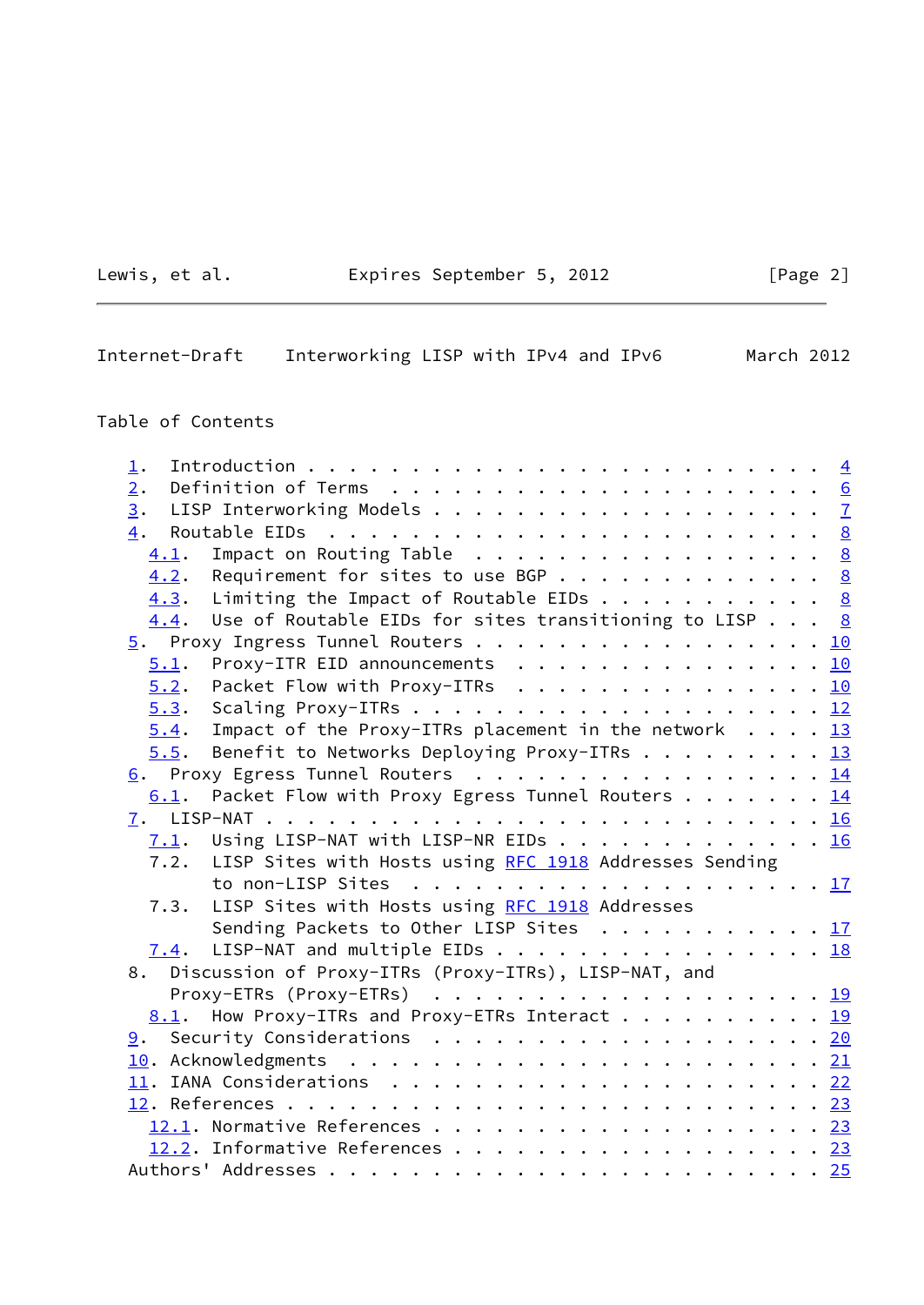# Lewis, et al. Expires September 5, 2012 [Page 2]

## Internet-Draft Interworking LISP with IPv4 and IPv6 March 2012

## Table of Contents

| $\mathbf{\underline{1}}$ .                                                        |  |  |  | $\overline{4}$ |
|-----------------------------------------------------------------------------------|--|--|--|----------------|
| 2.                                                                                |  |  |  |                |
| 3.                                                                                |  |  |  |                |
| 4.                                                                                |  |  |  |                |
| Impact on Routing Table $\ldots$ 8<br>4.1.                                        |  |  |  |                |
| Requirement for sites to use BGP 8<br>4.2.                                        |  |  |  |                |
| Limiting the Impact of Routable EIDs 8<br>4.3.                                    |  |  |  |                |
| Use of Routable EIDs for sites transitioning to LISP $\ldots$ 8<br>4.4.           |  |  |  |                |
| 5. Proxy Ingress Tunnel Routers 10                                                |  |  |  |                |
| Proxy-ITR EID announcements 10<br>5.1.                                            |  |  |  |                |
| Packet Flow with Proxy-ITRs 10<br>5.2.                                            |  |  |  |                |
| 5.3.                                                                              |  |  |  |                |
| Impact of the Proxy-ITRs placement in the network $\ldots$ $\frac{13}{2}$<br>5.4. |  |  |  |                |
| Benefit to Networks Deploying Proxy-ITRs 13<br>5.5.                               |  |  |  |                |
| 6. Proxy Egress Tunnel Routers 14                                                 |  |  |  |                |
| Packet Flow with Proxy Egress Tunnel Routers 14<br>6.1.                           |  |  |  |                |
|                                                                                   |  |  |  |                |
| 7.1. Using LISP-NAT with LISP-NR EIDs 16                                          |  |  |  |                |
| 7.2. LISP Sites with Hosts using RFC 1918 Addresses Sending                       |  |  |  |                |
| to non-LISP Sites $\ldots$ 17                                                     |  |  |  |                |
| LISP Sites with Hosts using RFC 1918 Addresses<br>7.3.                            |  |  |  |                |
| Sending Packets to Other LISP Sites 17                                            |  |  |  |                |
| 7.4. LISP-NAT and multiple EIDs 18                                                |  |  |  |                |
| 8. Discussion of Proxy-ITRs (Proxy-ITRs), LISP-NAT, and                           |  |  |  |                |
| Proxy-ETRs (Proxy-ETRs) 19                                                        |  |  |  |                |
| 8.1. How Proxy-ITRs and Proxy-ETRs Interact 19                                    |  |  |  |                |
| 9. Security Considerations 20                                                     |  |  |  |                |
|                                                                                   |  |  |  |                |
|                                                                                   |  |  |  |                |
|                                                                                   |  |  |  |                |
| 12.1. Normative References 23                                                     |  |  |  |                |
| 12.2. Informative References 23                                                   |  |  |  |                |
|                                                                                   |  |  |  |                |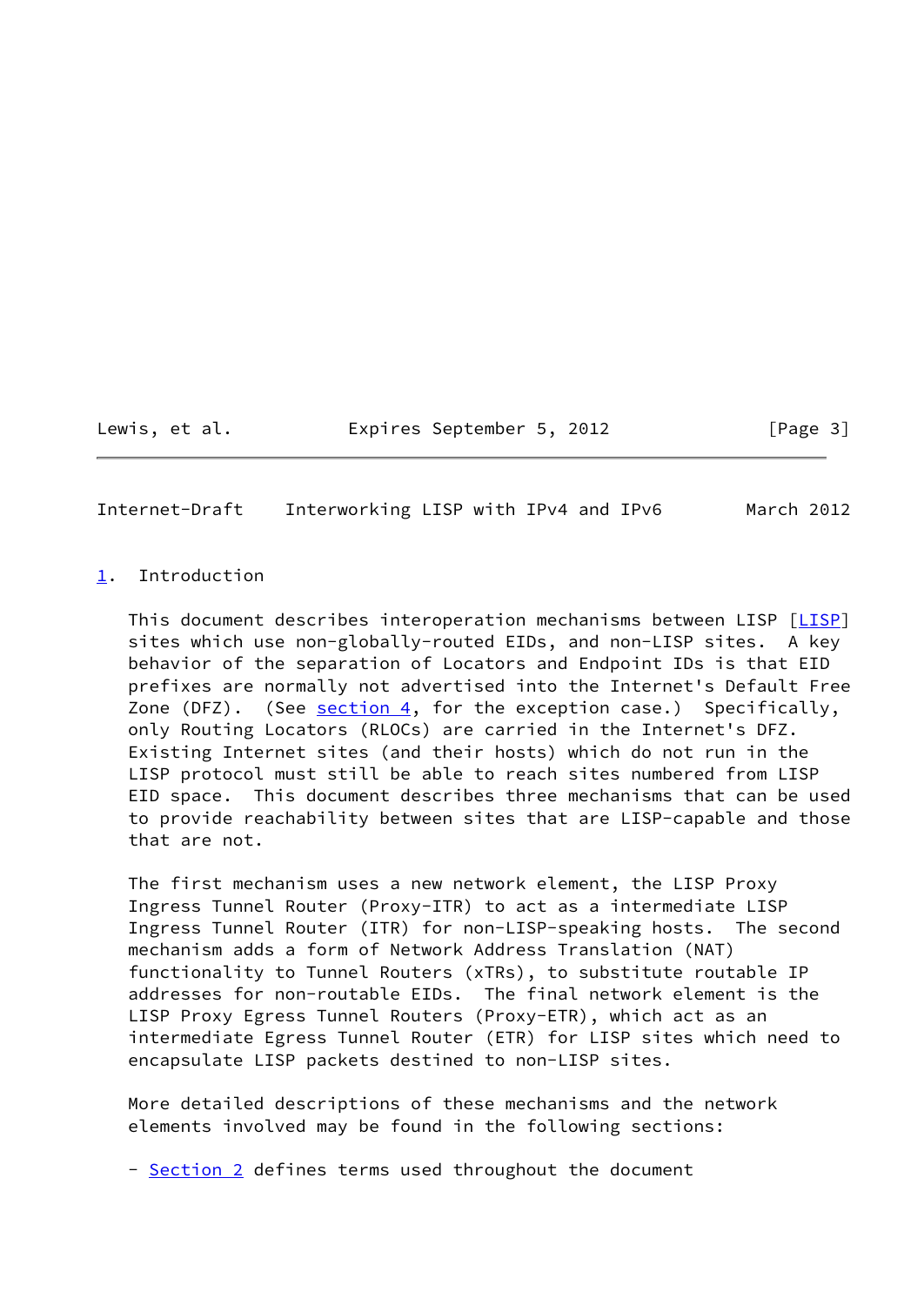Lewis, et al. Expires September 5, 2012 [Page 3]

<span id="page-3-1"></span>Internet-Draft Interworking LISP with IPv4 and IPv6 March 2012

#### <span id="page-3-0"></span>[1](#page-3-0). Introduction

This document describes interoperation mechanisms between LISP [\[LISP](#page-25-3)] sites which use non-globally-routed EIDs, and non-LISP sites. A key behavior of the separation of Locators and Endpoint IDs is that EID prefixes are normally not advertised into the Internet's Default Free Zone (DFZ). (See  $section 4$ , for the exception case.) Specifically, only Routing Locators (RLOCs) are carried in the Internet's DFZ. Existing Internet sites (and their hosts) which do not run in the LISP protocol must still be able to reach sites numbered from LISP EID space. This document describes three mechanisms that can be used to provide reachability between sites that are LISP-capable and those that are not.

 The first mechanism uses a new network element, the LISP Proxy Ingress Tunnel Router (Proxy-ITR) to act as a intermediate LISP Ingress Tunnel Router (ITR) for non-LISP-speaking hosts. The second mechanism adds a form of Network Address Translation (NAT) functionality to Tunnel Routers (xTRs), to substitute routable IP addresses for non-routable EIDs. The final network element is the LISP Proxy Egress Tunnel Routers (Proxy-ETR), which act as an intermediate Egress Tunnel Router (ETR) for LISP sites which need to encapsulate LISP packets destined to non-LISP sites.

 More detailed descriptions of these mechanisms and the network elements involved may be found in the following sections:

- [Section 2](#page-5-0) defines terms used throughout the document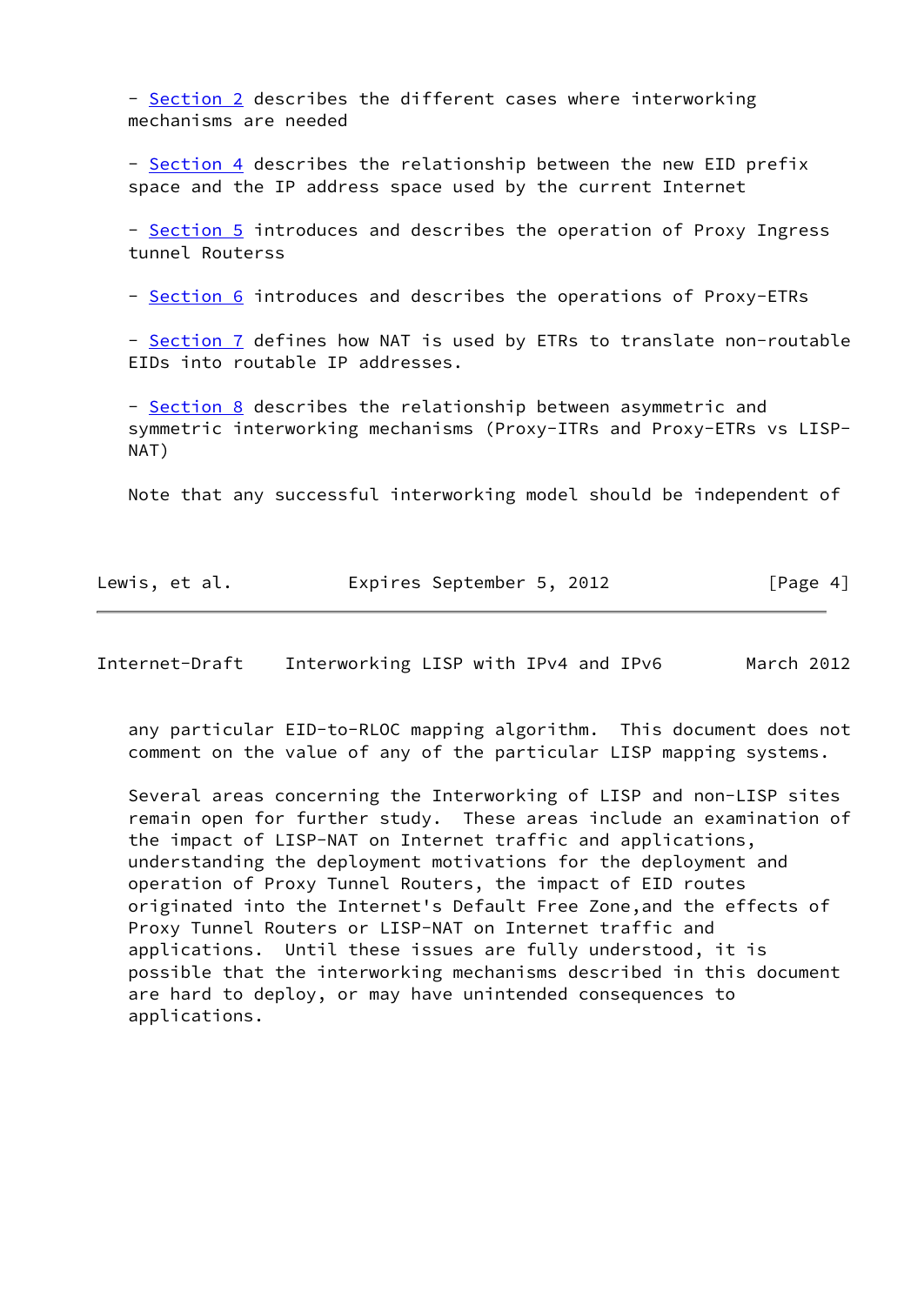- [Section 2](#page-5-0) describes the different cases where interworking mechanisms are needed

 - [Section 4](#page-7-0) describes the relationship between the new EID prefix space and the IP address space used by the current Internet

 - [Section 5](#page-10-0) introduces and describes the operation of Proxy Ingress tunnel Routerss

- [Section 6](#page-14-1) introduces and describes the operations of Proxy-ETRs

- [Section 7](#page-17-0) defines how NAT is used by ETRs to translate non-routable EIDs into routable IP addresses.

- [Section 8](#page-20-3) describes the relationship between asymmetric and symmetric interworking mechanisms (Proxy-ITRs and Proxy-ETRs vs LISP- NAT)

Note that any successful interworking model should be independent of

| Lewis, et al. | Expires September 5, 2012 |  | [Page 4] |
|---------------|---------------------------|--|----------|
|---------------|---------------------------|--|----------|

Internet-Draft Interworking LISP with IPv4 and IPv6 March 2012

 any particular EID-to-RLOC mapping algorithm. This document does not comment on the value of any of the particular LISP mapping systems.

 Several areas concerning the Interworking of LISP and non-LISP sites remain open for further study. These areas include an examination of the impact of LISP-NAT on Internet traffic and applications, understanding the deployment motivations for the deployment and operation of Proxy Tunnel Routers, the impact of EID routes originated into the Internet's Default Free Zone,and the effects of Proxy Tunnel Routers or LISP-NAT on Internet traffic and applications. Until these issues are fully understood, it is possible that the interworking mechanisms described in this document are hard to deploy, or may have unintended consequences to applications.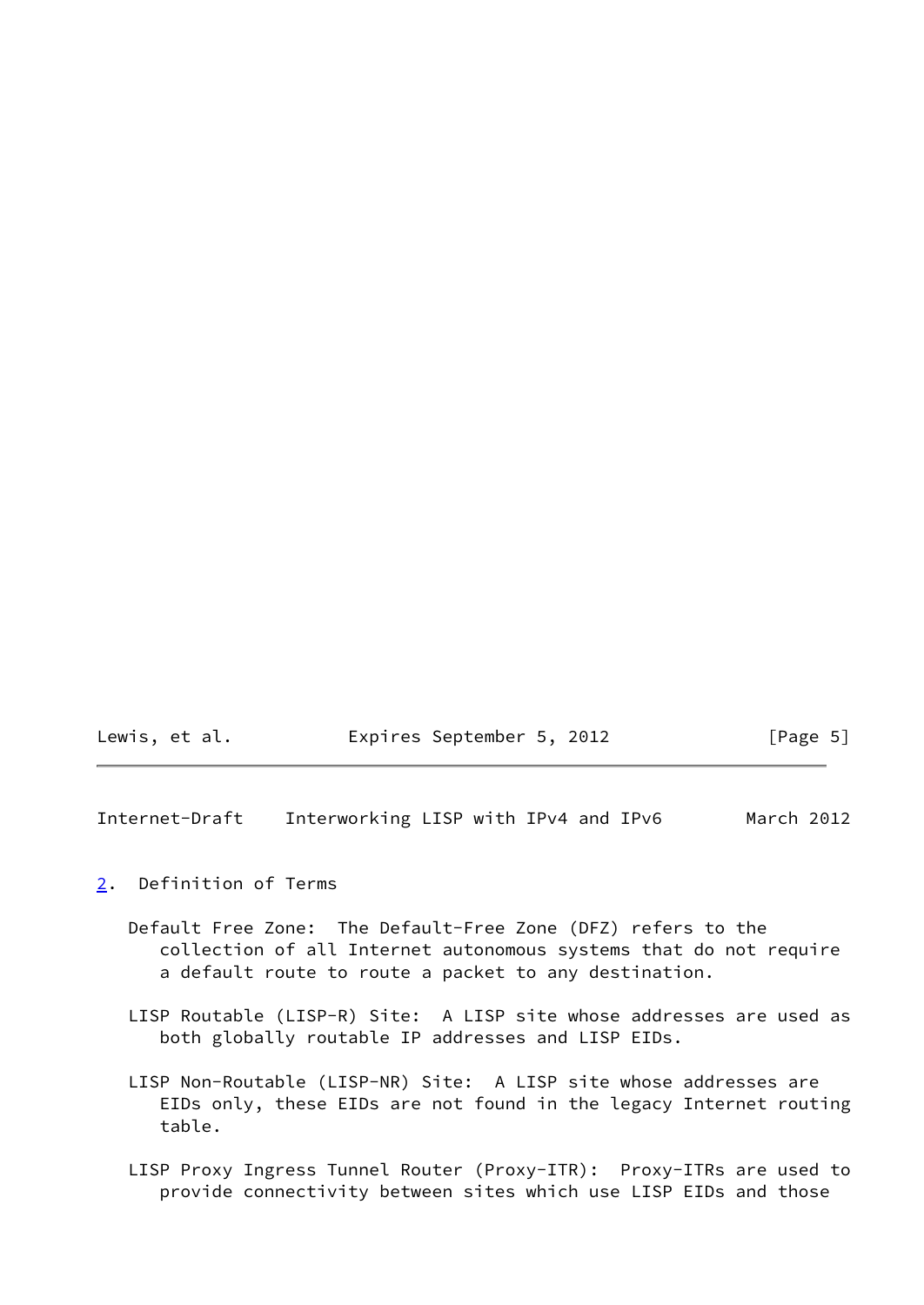<span id="page-5-1"></span>

| Lewis, et al. |  | Expires September 5, 2012 |  | [Page 5] |  |
|---------------|--|---------------------------|--|----------|--|
|               |  |                           |  |          |  |

<span id="page-5-0"></span>[2](#page-5-0). Definition of Terms

- Default Free Zone: The Default-Free Zone (DFZ) refers to the collection of all Internet autonomous systems that do not require a default route to route a packet to any destination.
- LISP Routable (LISP-R) Site: A LISP site whose addresses are used as both globally routable IP addresses and LISP EIDs.
- LISP Non-Routable (LISP-NR) Site: A LISP site whose addresses are EIDs only, these EIDs are not found in the legacy Internet routing table.
- LISP Proxy Ingress Tunnel Router (Proxy-ITR): Proxy-ITRs are used to provide connectivity between sites which use LISP EIDs and those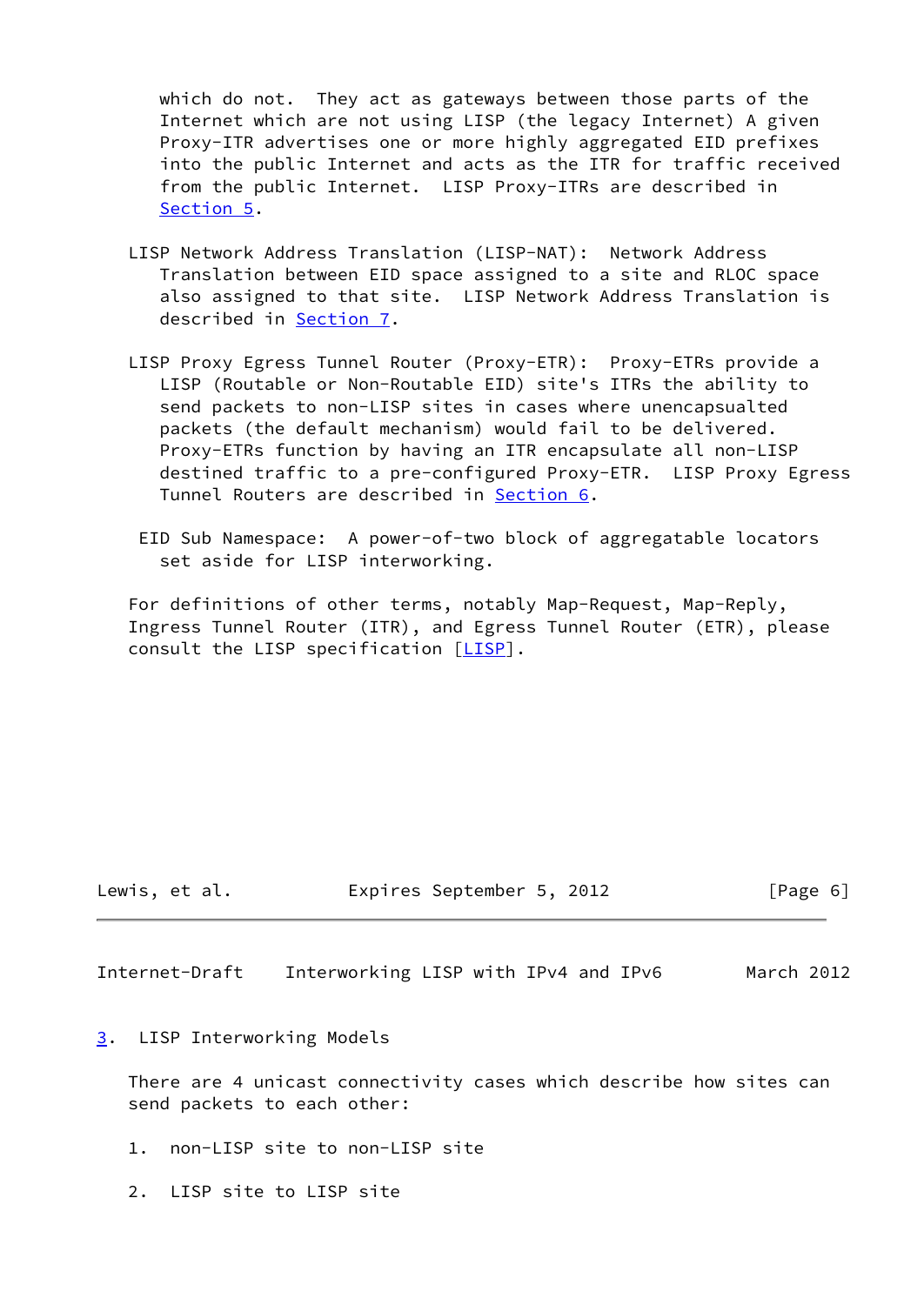which do not. They act as gateways between those parts of the Internet which are not using LISP (the legacy Internet) A given Proxy-ITR advertises one or more highly aggregated EID prefixes into the public Internet and acts as the ITR for traffic received from the public Internet. LISP Proxy-ITRs are described in [Section 5.](#page-10-0)

- LISP Network Address Translation (LISP-NAT): Network Address Translation between EID space assigned to a site and RLOC space also assigned to that site. LISP Network Address Translation is described in [Section 7](#page-17-0).
- LISP Proxy Egress Tunnel Router (Proxy-ETR): Proxy-ETRs provide a LISP (Routable or Non-Routable EID) site's ITRs the ability to send packets to non-LISP sites in cases where unencapsualted packets (the default mechanism) would fail to be delivered. Proxy-ETRs function by having an ITR encapsulate all non-LISP destined traffic to a pre-configured Proxy-ETR. LISP Proxy Egress Tunnel Routers are described in [Section 6.](#page-14-1)
	- EID Sub Namespace: A power-of-two block of aggregatable locators set aside for LISP interworking.

 For definitions of other terms, notably Map-Request, Map-Reply, Ingress Tunnel Router (ITR), and Egress Tunnel Router (ETR), please consult the LISP specification [\[LISP](#page-25-3)].

Lewis, et al. Expires September 5, 2012 [Page 6]

<span id="page-6-1"></span>Internet-Draft Interworking LISP with IPv4 and IPv6 March 2012

#### <span id="page-6-0"></span>[3](#page-6-0). LISP Interworking Models

 There are 4 unicast connectivity cases which describe how sites can send packets to each other:

- 1. non-LISP site to non-LISP site
- 2. LISP site to LISP site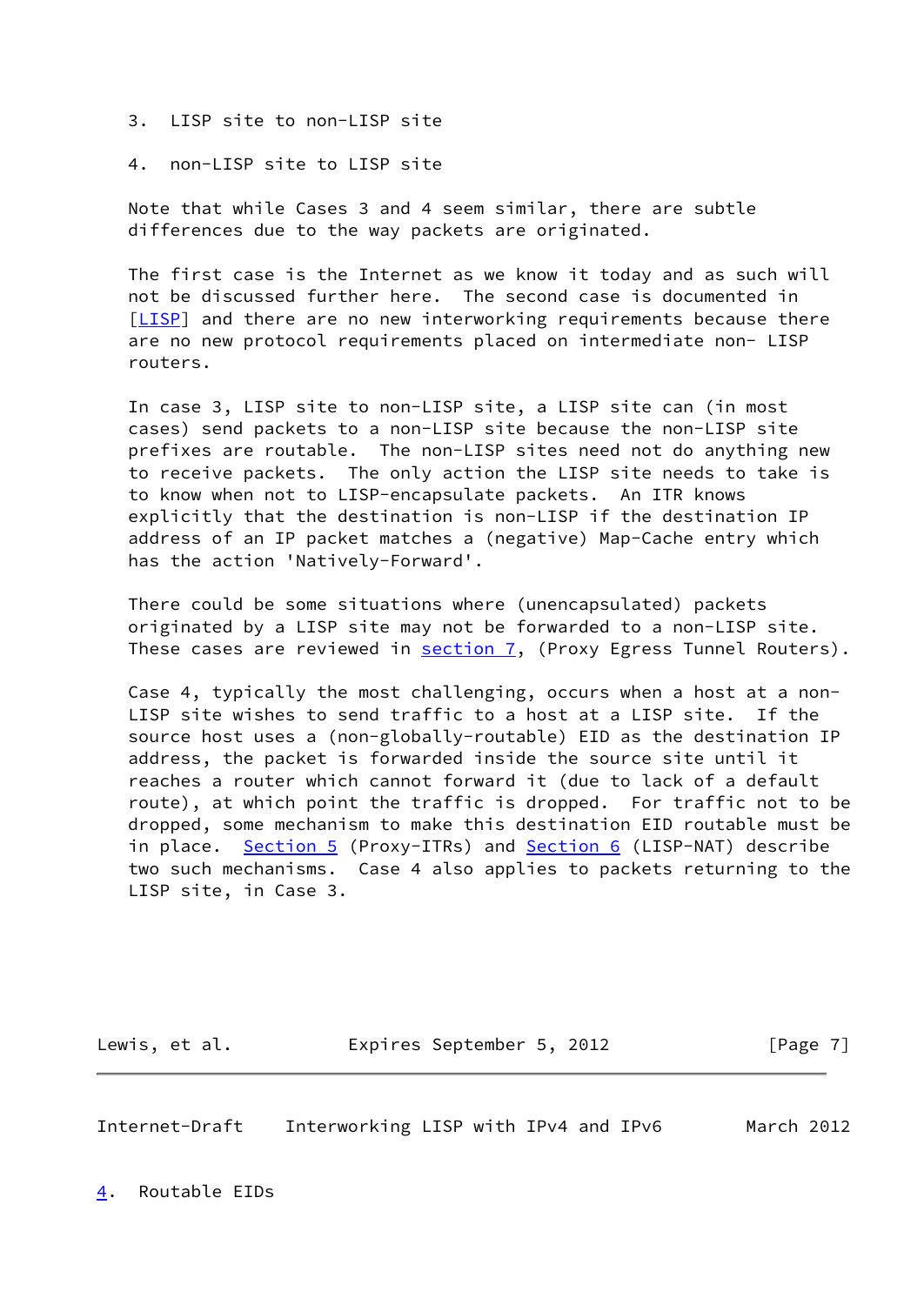3. LISP site to non-LISP site

4. non-LISP site to LISP site

 Note that while Cases 3 and 4 seem similar, there are subtle differences due to the way packets are originated.

 The first case is the Internet as we know it today and as such will not be discussed further here. The second case is documented in [\[LISP](#page-25-3)] and there are no new interworking requirements because there are no new protocol requirements placed on intermediate non- LISP routers.

 In case 3, LISP site to non-LISP site, a LISP site can (in most cases) send packets to a non-LISP site because the non-LISP site prefixes are routable. The non-LISP sites need not do anything new to receive packets. The only action the LISP site needs to take is to know when not to LISP-encapsulate packets. An ITR knows explicitly that the destination is non-LISP if the destination IP address of an IP packet matches a (negative) Map-Cache entry which has the action 'Natively-Forward'.

 There could be some situations where (unencapsulated) packets originated by a LISP site may not be forwarded to a non-LISP site. These cases are reviewed in **section 7**, (Proxy Egress Tunnel Routers).

 Case 4, typically the most challenging, occurs when a host at a non- LISP site wishes to send traffic to a host at a LISP site. If the source host uses a (non-globally-routable) EID as the destination IP address, the packet is forwarded inside the source site until it reaches a router which cannot forward it (due to lack of a default route), at which point the traffic is dropped. For traffic not to be dropped, some mechanism to make this destination EID routable must be in place. [Section 5](#page-10-0) (Proxy-ITRs) and [Section 6](#page-14-1) (LISP-NAT) describe two such mechanisms. Case 4 also applies to packets returning to the LISP site, in Case 3.

Lewis, et al. **Expires September 5, 2012** [Page 7]

<span id="page-7-1"></span>Internet-Draft Interworking LISP with IPv4 and IPv6 March 2012

<span id="page-7-0"></span>[4](#page-7-0). Routable EIDs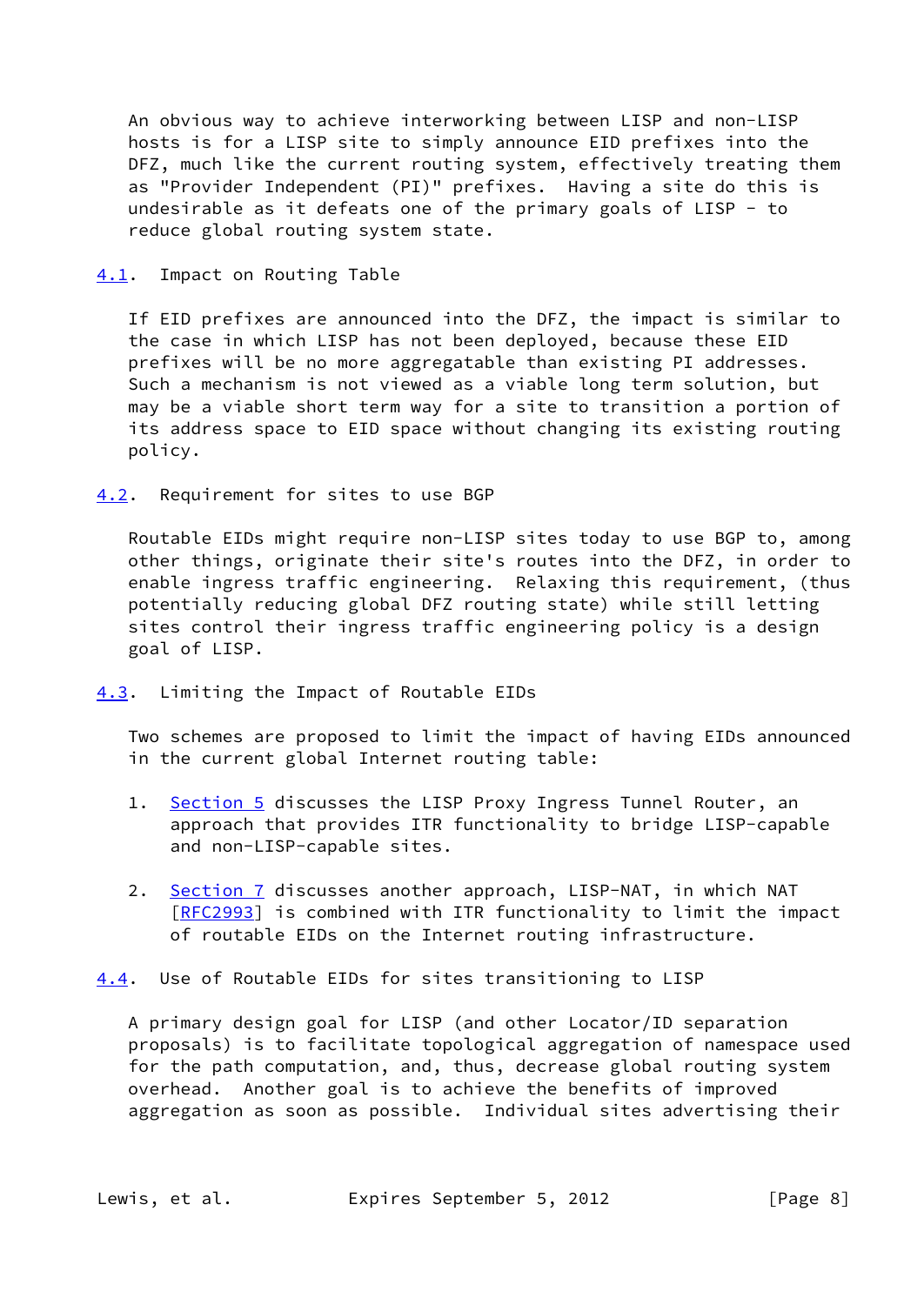An obvious way to achieve interworking between LISP and non-LISP hosts is for a LISP site to simply announce EID prefixes into the DFZ, much like the current routing system, effectively treating them as "Provider Independent (PI)" prefixes. Having a site do this is undesirable as it defeats one of the primary goals of LISP - to reduce global routing system state.

<span id="page-8-0"></span>[4.1](#page-8-0). Impact on Routing Table

 If EID prefixes are announced into the DFZ, the impact is similar to the case in which LISP has not been deployed, because these EID prefixes will be no more aggregatable than existing PI addresses. Such a mechanism is not viewed as a viable long term solution, but may be a viable short term way for a site to transition a portion of its address space to EID space without changing its existing routing policy.

<span id="page-8-1"></span>[4.2](#page-8-1). Requirement for sites to use BGP

 Routable EIDs might require non-LISP sites today to use BGP to, among other things, originate their site's routes into the DFZ, in order to enable ingress traffic engineering. Relaxing this requirement, (thus potentially reducing global DFZ routing state) while still letting sites control their ingress traffic engineering policy is a design goal of LISP.

<span id="page-8-2"></span>[4.3](#page-8-2). Limiting the Impact of Routable EIDs

 Two schemes are proposed to limit the impact of having EIDs announced in the current global Internet routing table:

- 1. [Section 5](#page-10-0) discusses the LISP Proxy Ingress Tunnel Router, an approach that provides ITR functionality to bridge LISP-capable and non-LISP-capable sites.
- 2. [Section 7](#page-17-0) discusses another approach, LISP-NAT, in which NAT [\[RFC2993](https://datatracker.ietf.org/doc/pdf/rfc2993)] is combined with ITR functionality to limit the impact of routable EIDs on the Internet routing infrastructure.

<span id="page-8-3"></span>[4.4](#page-8-3). Use of Routable EIDs for sites transitioning to LISP

 A primary design goal for LISP (and other Locator/ID separation proposals) is to facilitate topological aggregation of namespace used for the path computation, and, thus, decrease global routing system overhead. Another goal is to achieve the benefits of improved aggregation as soon as possible. Individual sites advertising their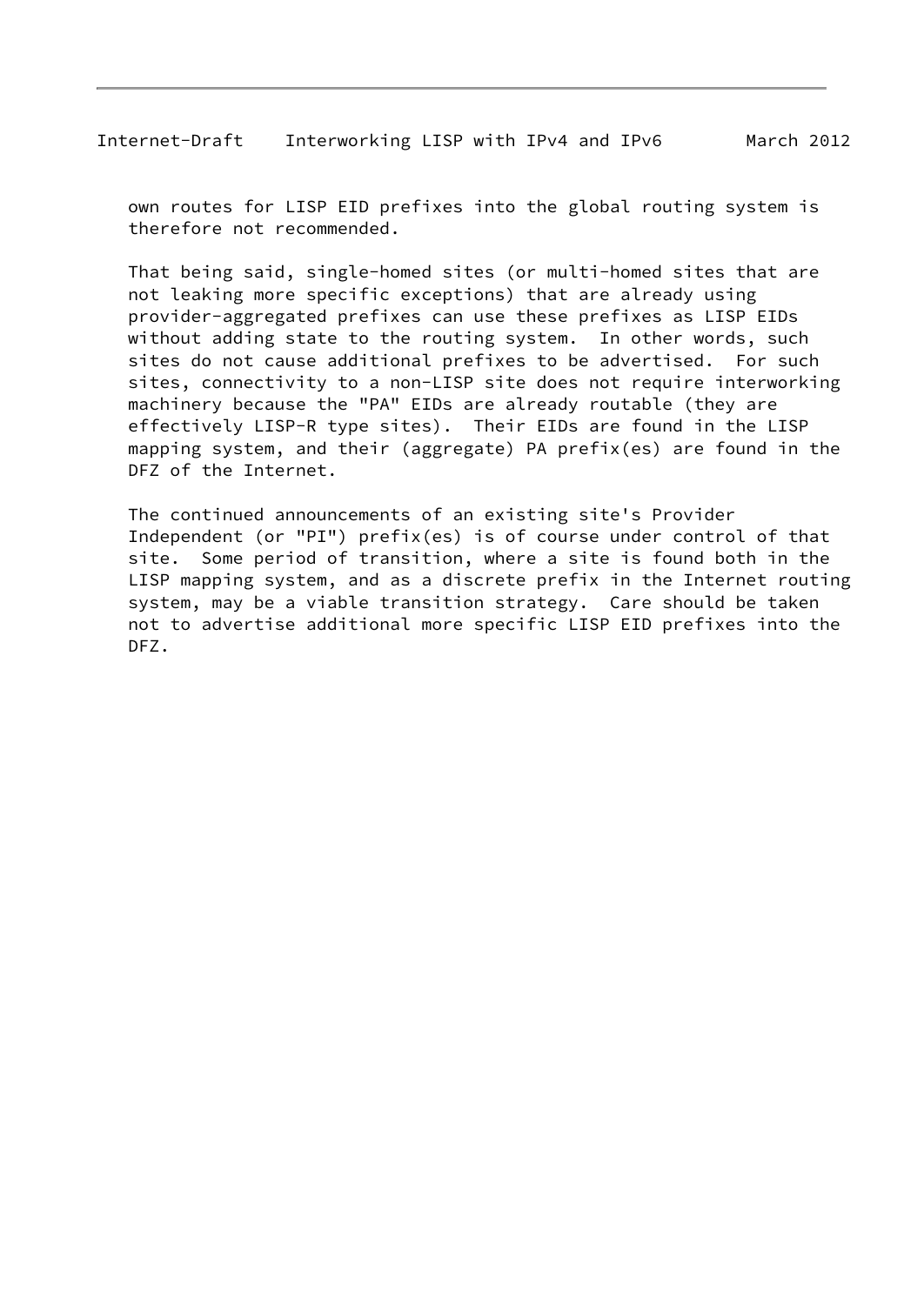own routes for LISP EID prefixes into the global routing system is therefore not recommended.

 That being said, single-homed sites (or multi-homed sites that are not leaking more specific exceptions) that are already using provider-aggregated prefixes can use these prefixes as LISP EIDs without adding state to the routing system. In other words, such sites do not cause additional prefixes to be advertised. For such sites, connectivity to a non-LISP site does not require interworking machinery because the "PA" EIDs are already routable (they are effectively LISP-R type sites). Their EIDs are found in the LISP mapping system, and their (aggregate) PA prefix(es) are found in the DFZ of the Internet.

 The continued announcements of an existing site's Provider Independent (or "PI") prefix(es) is of course under control of that site. Some period of transition, where a site is found both in the LISP mapping system, and as a discrete prefix in the Internet routing system, may be a viable transition strategy. Care should be taken not to advertise additional more specific LISP EID prefixes into the DFZ.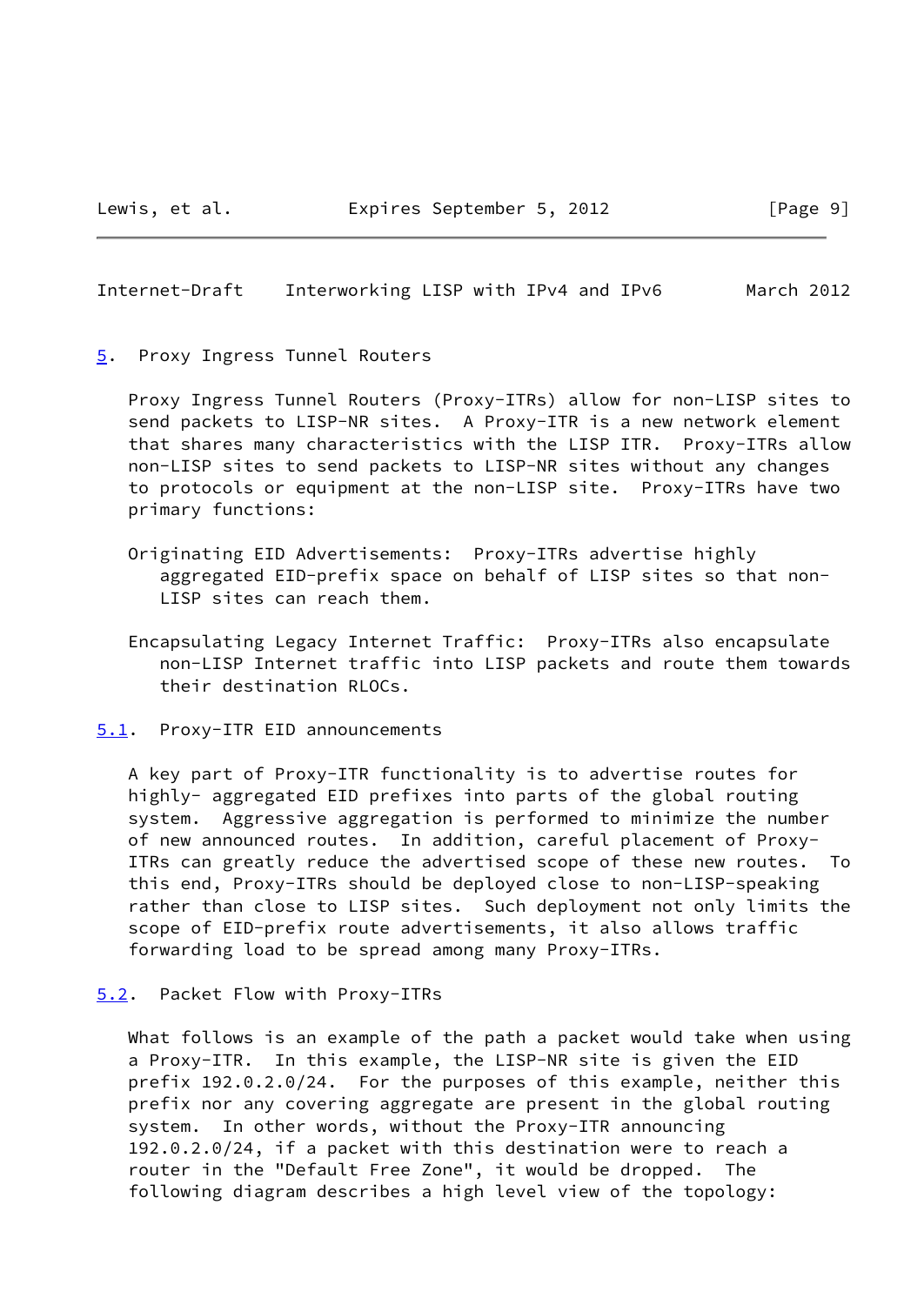#### <span id="page-10-1"></span><span id="page-10-0"></span>[5](#page-10-0). Proxy Ingress Tunnel Routers

 Proxy Ingress Tunnel Routers (Proxy-ITRs) allow for non-LISP sites to send packets to LISP-NR sites. A Proxy-ITR is a new network element that shares many characteristics with the LISP ITR. Proxy-ITRs allow non-LISP sites to send packets to LISP-NR sites without any changes to protocols or equipment at the non-LISP site. Proxy-ITRs have two primary functions:

- Originating EID Advertisements: Proxy-ITRs advertise highly aggregated EID-prefix space on behalf of LISP sites so that non- LISP sites can reach them.
- Encapsulating Legacy Internet Traffic: Proxy-ITRs also encapsulate non-LISP Internet traffic into LISP packets and route them towards their destination RLOCs.
- <span id="page-10-2"></span>[5.1](#page-10-2). Proxy-ITR EID announcements

 A key part of Proxy-ITR functionality is to advertise routes for highly- aggregated EID prefixes into parts of the global routing system. Aggressive aggregation is performed to minimize the number of new announced routes. In addition, careful placement of Proxy- ITRs can greatly reduce the advertised scope of these new routes. To this end, Proxy-ITRs should be deployed close to non-LISP-speaking rather than close to LISP sites. Such deployment not only limits the scope of EID-prefix route advertisements, it also allows traffic forwarding load to be spread among many Proxy-ITRs.

#### <span id="page-10-3"></span>[5.2](#page-10-3). Packet Flow with Proxy-ITRs

 What follows is an example of the path a packet would take when using a Proxy-ITR. In this example, the LISP-NR site is given the EID prefix 192.0.2.0/24. For the purposes of this example, neither this prefix nor any covering aggregate are present in the global routing system. In other words, without the Proxy-ITR announcing 192.0.2.0/24, if a packet with this destination were to reach a router in the "Default Free Zone", it would be dropped. The following diagram describes a high level view of the topology: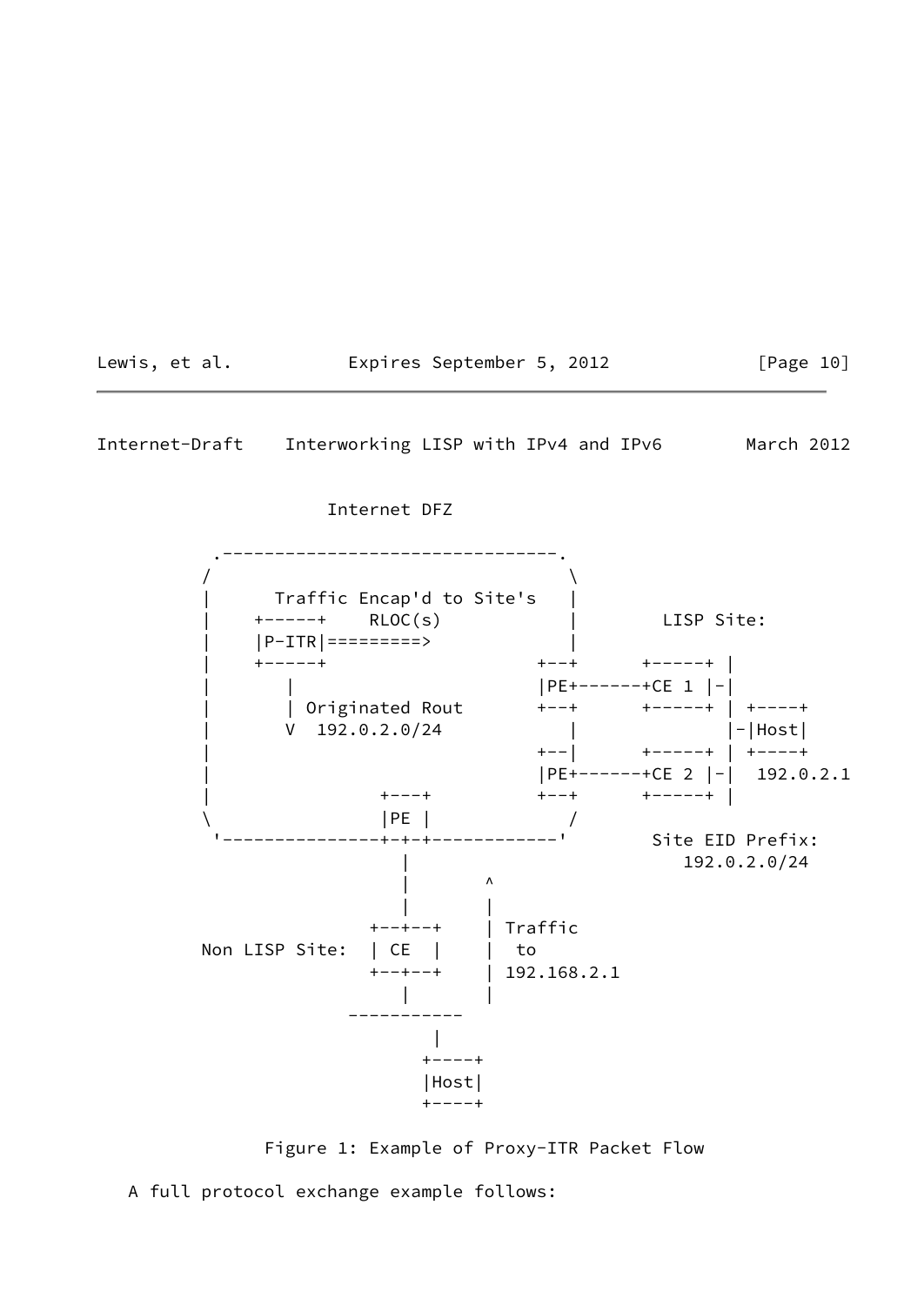| Lewis, et al. | Expires September 5, 2012 |  | [Page 10] |  |
|---------------|---------------------------|--|-----------|--|
|---------------|---------------------------|--|-----------|--|



Figure 1: Example of Proxy-ITR Packet Flow

A full protocol exchange example follows: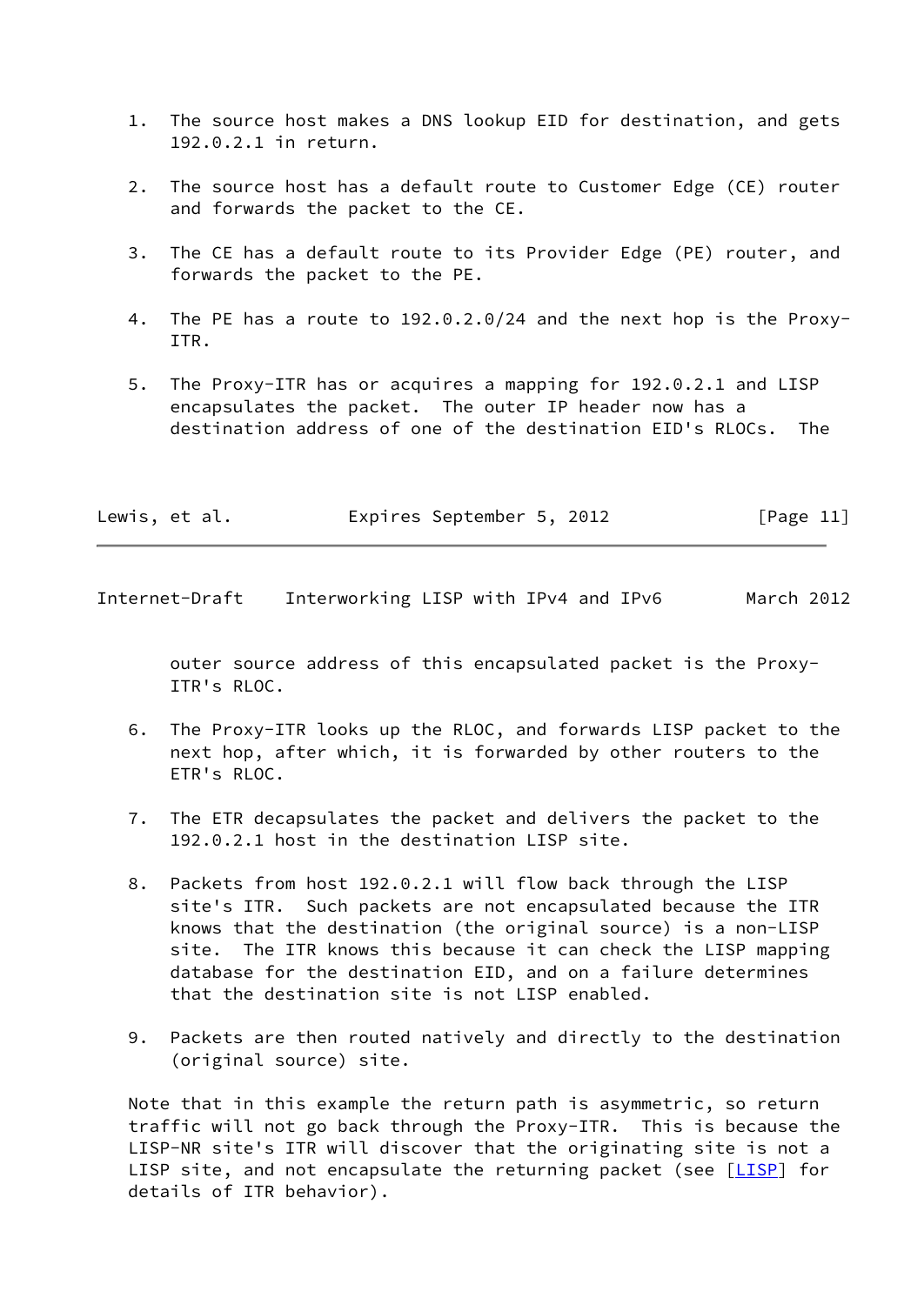- 1. The source host makes a DNS lookup EID for destination, and gets 192.0.2.1 in return.
- 2. The source host has a default route to Customer Edge (CE) router and forwards the packet to the CE.
- 3. The CE has a default route to its Provider Edge (PE) router, and forwards the packet to the PE.
- 4. The PE has a route to 192.0.2.0/24 and the next hop is the Proxy- ITR.
- 5. The Proxy-ITR has or acquires a mapping for 192.0.2.1 and LISP encapsulates the packet. The outer IP header now has a destination address of one of the destination EID's RLOCs. The

<span id="page-12-0"></span>

| Lewis, et al. | Expires September 5, 2012 |  | [Page 11] |
|---------------|---------------------------|--|-----------|
|---------------|---------------------------|--|-----------|

 outer source address of this encapsulated packet is the Proxy- ITR's RLOC.

- 6. The Proxy-ITR looks up the RLOC, and forwards LISP packet to the next hop, after which, it is forwarded by other routers to the ETR's RLOC.
- 7. The ETR decapsulates the packet and delivers the packet to the 192.0.2.1 host in the destination LISP site.
- 8. Packets from host 192.0.2.1 will flow back through the LISP site's ITR. Such packets are not encapsulated because the ITR knows that the destination (the original source) is a non-LISP site. The ITR knows this because it can check the LISP mapping database for the destination EID, and on a failure determines that the destination site is not LISP enabled.
- 9. Packets are then routed natively and directly to the destination (original source) site.

 Note that in this example the return path is asymmetric, so return traffic will not go back through the Proxy-ITR. This is because the LISP-NR site's ITR will discover that the originating site is not a LISP site, and not encapsulate the returning packet (see  $[LISP]$  $[LISP]$  for details of ITR behavior).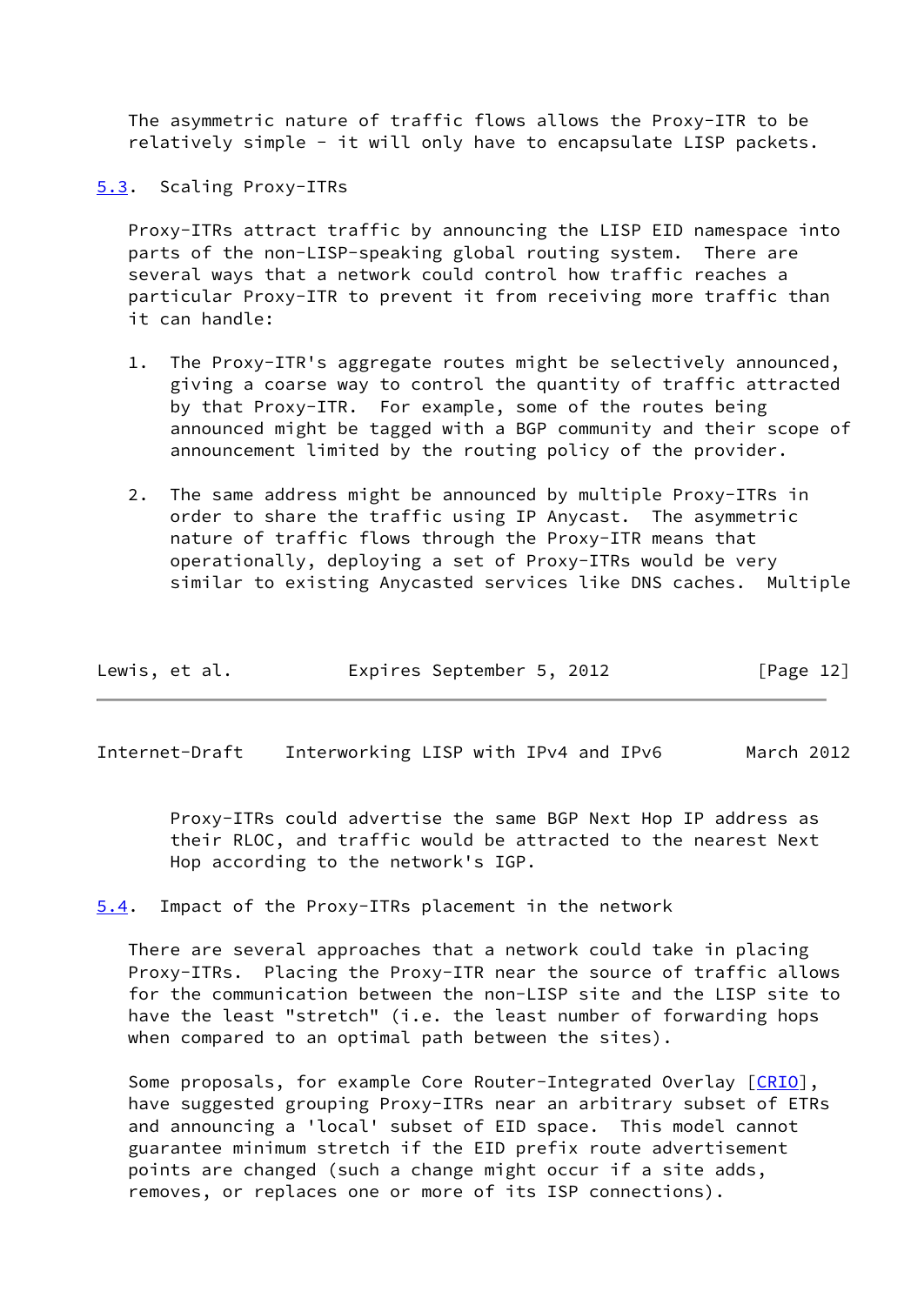The asymmetric nature of traffic flows allows the Proxy-ITR to be relatively simple - it will only have to encapsulate LISP packets.

<span id="page-13-0"></span>[5.3](#page-13-0). Scaling Proxy-ITRs

 Proxy-ITRs attract traffic by announcing the LISP EID namespace into parts of the non-LISP-speaking global routing system. There are several ways that a network could control how traffic reaches a particular Proxy-ITR to prevent it from receiving more traffic than it can handle:

- 1. The Proxy-ITR's aggregate routes might be selectively announced, giving a coarse way to control the quantity of traffic attracted by that Proxy-ITR. For example, some of the routes being announced might be tagged with a BGP community and their scope of announcement limited by the routing policy of the provider.
- 2. The same address might be announced by multiple Proxy-ITRs in order to share the traffic using IP Anycast. The asymmetric nature of traffic flows through the Proxy-ITR means that operationally, deploying a set of Proxy-ITRs would be very similar to existing Anycasted services like DNS caches. Multiple

| Lewis, et al. | Expires September 5, 2012 | [Page 12] |
|---------------|---------------------------|-----------|
|---------------|---------------------------|-----------|

<span id="page-13-2"></span>Internet-Draft Interworking LISP with IPv4 and IPv6 March 2012

 Proxy-ITRs could advertise the same BGP Next Hop IP address as their RLOC, and traffic would be attracted to the nearest Next Hop according to the network's IGP.

<span id="page-13-1"></span>[5.4](#page-13-1). Impact of the Proxy-ITRs placement in the network

 There are several approaches that a network could take in placing Proxy-ITRs. Placing the Proxy-ITR near the source of traffic allows for the communication between the non-LISP site and the LISP site to have the least "stretch" (i.e. the least number of forwarding hops when compared to an optimal path between the sites).

 Some proposals, for example Core Router-Integrated Overlay [[CRIO\]](#page-25-4), have suggested grouping Proxy-ITRs near an arbitrary subset of ETRs and announcing a 'local' subset of EID space. This model cannot guarantee minimum stretch if the EID prefix route advertisement points are changed (such a change might occur if a site adds, removes, or replaces one or more of its ISP connections).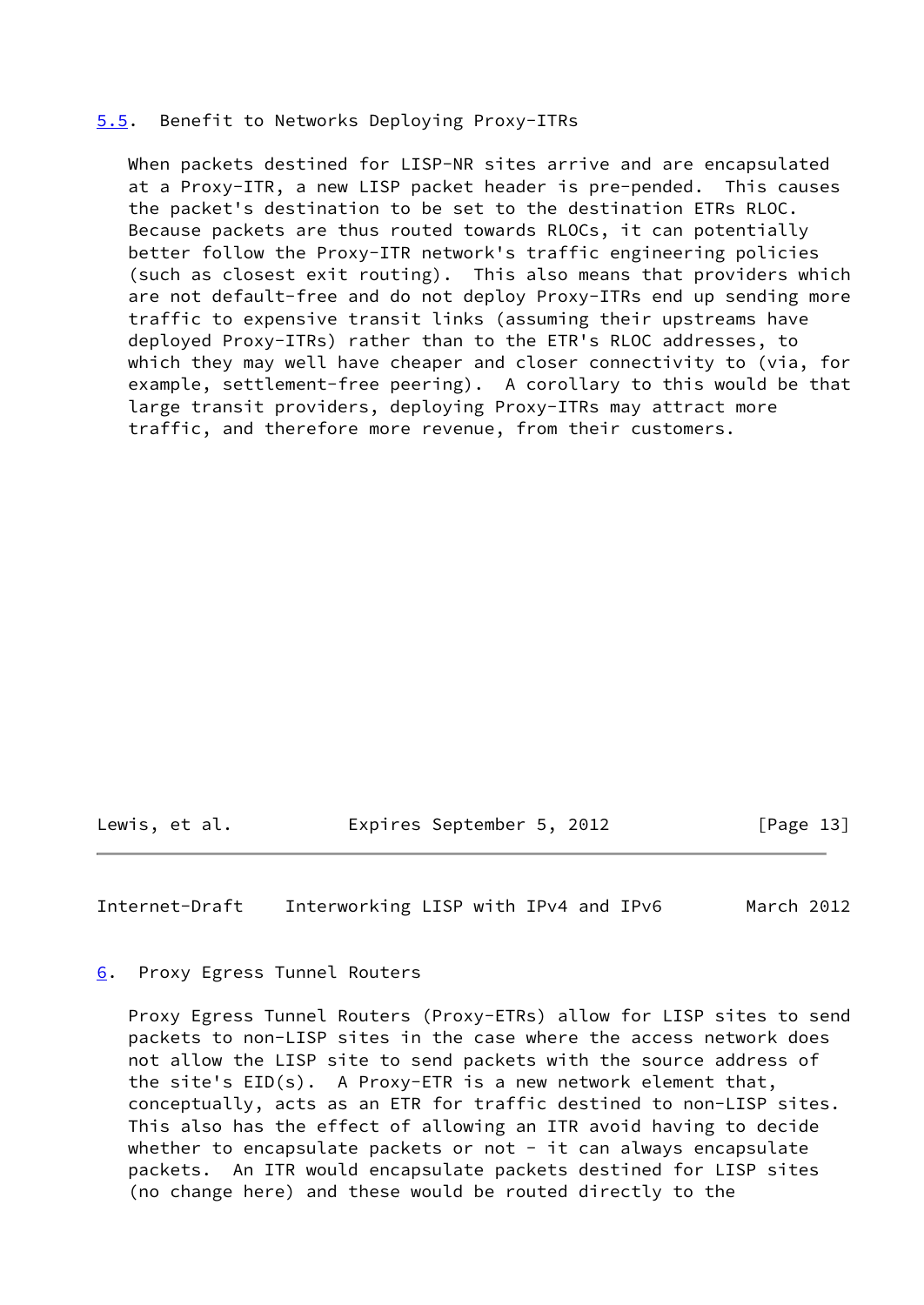#### <span id="page-14-0"></span>[5.5](#page-14-0). Benefit to Networks Deploying Proxy-ITRs

 When packets destined for LISP-NR sites arrive and are encapsulated at a Proxy-ITR, a new LISP packet header is pre-pended. This causes the packet's destination to be set to the destination ETRs RLOC. Because packets are thus routed towards RLOCs, it can potentially better follow the Proxy-ITR network's traffic engineering policies (such as closest exit routing). This also means that providers which are not default-free and do not deploy Proxy-ITRs end up sending more traffic to expensive transit links (assuming their upstreams have deployed Proxy-ITRs) rather than to the ETR's RLOC addresses, to which they may well have cheaper and closer connectivity to (via, for example, settlement-free peering). A corollary to this would be that large transit providers, deploying Proxy-ITRs may attract more traffic, and therefore more revenue, from their customers.

Lewis, et al. Expires September 5, 2012 [Page 13]

<span id="page-14-2"></span>Internet-Draft Interworking LISP with IPv4 and IPv6 March 2012

<span id="page-14-1"></span>[6](#page-14-1). Proxy Egress Tunnel Routers

 Proxy Egress Tunnel Routers (Proxy-ETRs) allow for LISP sites to send packets to non-LISP sites in the case where the access network does not allow the LISP site to send packets with the source address of the site's EID(s). A Proxy-ETR is a new network element that, conceptually, acts as an ETR for traffic destined to non-LISP sites. This also has the effect of allowing an ITR avoid having to decide whether to encapsulate packets or not  $-$  it can always encapsulate packets. An ITR would encapsulate packets destined for LISP sites (no change here) and these would be routed directly to the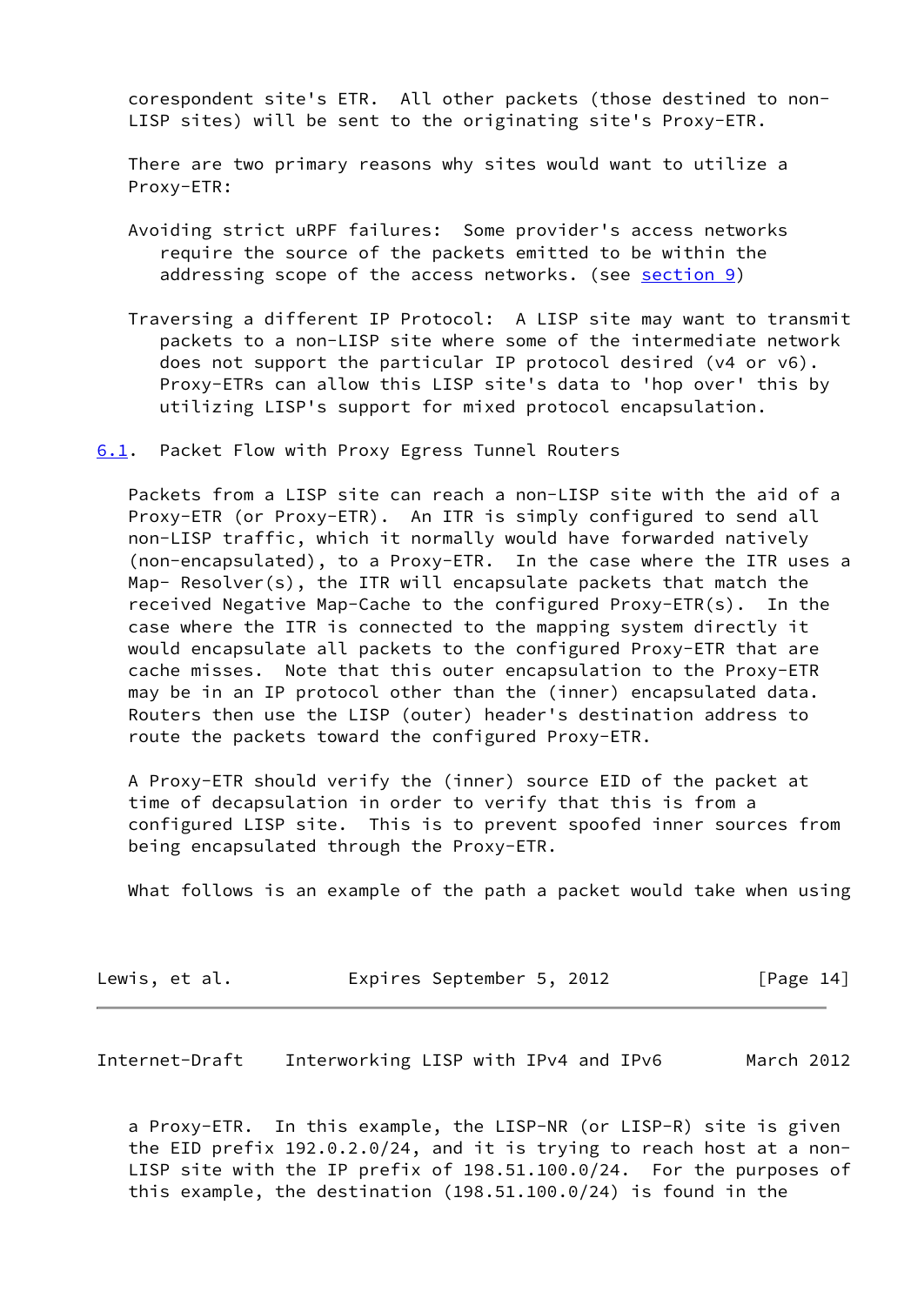corespondent site's ETR. All other packets (those destined to non- LISP sites) will be sent to the originating site's Proxy-ETR.

 There are two primary reasons why sites would want to utilize a Proxy-ETR:

- Avoiding strict uRPF failures: Some provider's access networks require the source of the packets emitted to be within the addressing scope of the access networks. (see [section 9](#page-21-0))
- Traversing a different IP Protocol: A LISP site may want to transmit packets to a non-LISP site where some of the intermediate network does not support the particular IP protocol desired (v4 or v6). Proxy-ETRs can allow this LISP site's data to 'hop over' this by utilizing LISP's support for mixed protocol encapsulation.

<span id="page-15-0"></span>[6.1](#page-15-0). Packet Flow with Proxy Egress Tunnel Routers

 Packets from a LISP site can reach a non-LISP site with the aid of a Proxy-ETR (or Proxy-ETR). An ITR is simply configured to send all non-LISP traffic, which it normally would have forwarded natively (non-encapsulated), to a Proxy-ETR. In the case where the ITR uses a Map- Resolver(s), the ITR will encapsulate packets that match the received Negative Map-Cache to the configured Proxy-ETR(s). In the case where the ITR is connected to the mapping system directly it would encapsulate all packets to the configured Proxy-ETR that are cache misses. Note that this outer encapsulation to the Proxy-ETR may be in an IP protocol other than the (inner) encapsulated data. Routers then use the LISP (outer) header's destination address to route the packets toward the configured Proxy-ETR.

 A Proxy-ETR should verify the (inner) source EID of the packet at time of decapsulation in order to verify that this is from a configured LISP site. This is to prevent spoofed inner sources from being encapsulated through the Proxy-ETR.

What follows is an example of the path a packet would take when using

| Lewis, et al. | Expires September 5, 2012 | [Page 14] |
|---------------|---------------------------|-----------|
|---------------|---------------------------|-----------|

Internet-Draft Interworking LISP with IPv4 and IPv6 March 2012

 a Proxy-ETR. In this example, the LISP-NR (or LISP-R) site is given the EID prefix 192.0.2.0/24, and it is trying to reach host at a non- LISP site with the IP prefix of 198.51.100.0/24. For the purposes of this example, the destination (198.51.100.0/24) is found in the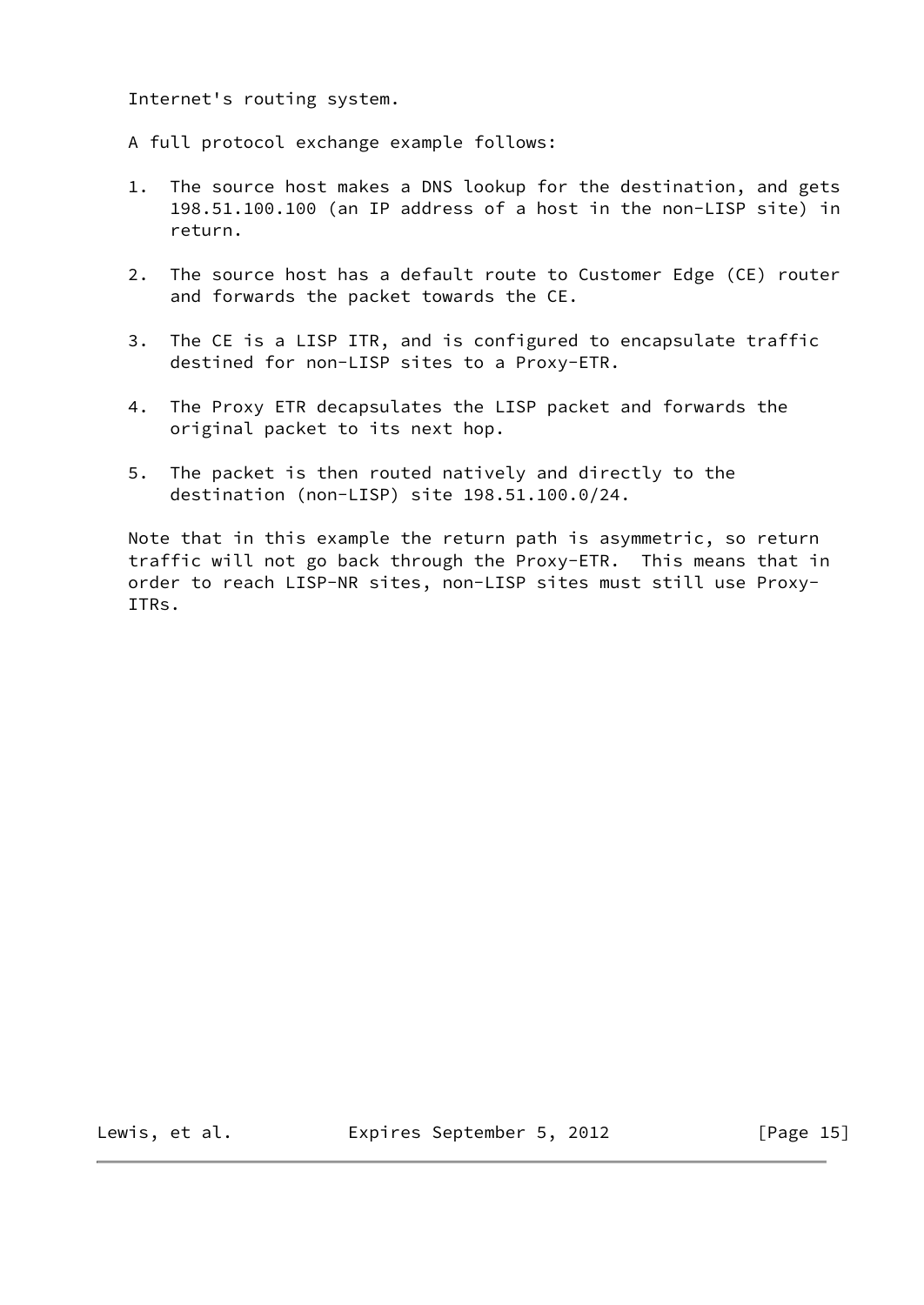Internet's routing system.

- A full protocol exchange example follows:
- 1. The source host makes a DNS lookup for the destination, and gets 198.51.100.100 (an IP address of a host in the non-LISP site) in return.
- 2. The source host has a default route to Customer Edge (CE) router and forwards the packet towards the CE.
- 3. The CE is a LISP ITR, and is configured to encapsulate traffic destined for non-LISP sites to a Proxy-ETR.
- 4. The Proxy ETR decapsulates the LISP packet and forwards the original packet to its next hop.
- 5. The packet is then routed natively and directly to the destination (non-LISP) site 198.51.100.0/24.

 Note that in this example the return path is asymmetric, so return traffic will not go back through the Proxy-ETR. This means that in order to reach LISP-NR sites, non-LISP sites must still use Proxy- ITRs.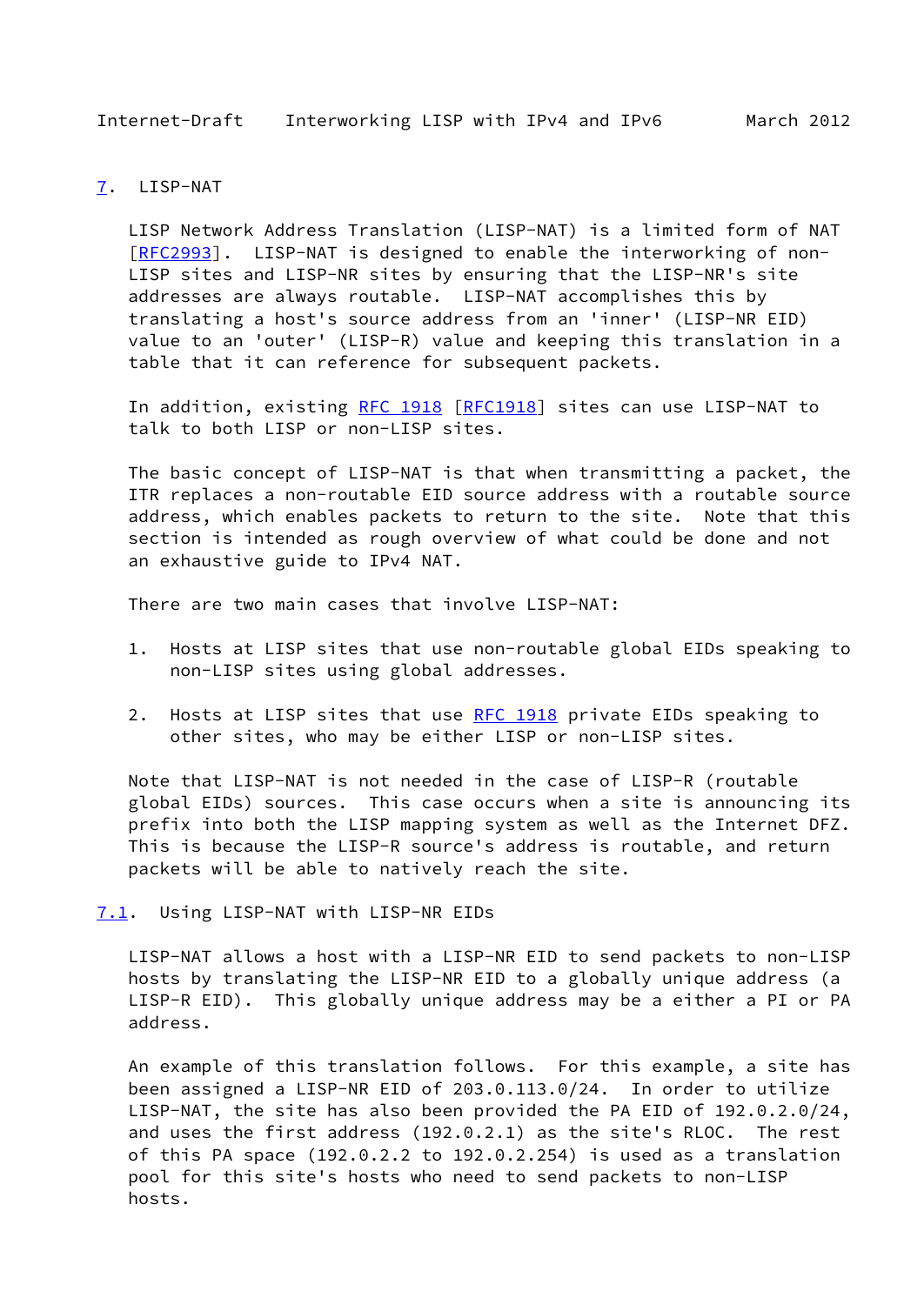#### <span id="page-17-1"></span><span id="page-17-0"></span>[7](#page-17-0). LISP-NAT

 LISP Network Address Translation (LISP-NAT) is a limited form of NAT [\[RFC2993](https://datatracker.ietf.org/doc/pdf/rfc2993)]. LISP-NAT is designed to enable the interworking of non- LISP sites and LISP-NR sites by ensuring that the LISP-NR's site addresses are always routable. LISP-NAT accomplishes this by translating a host's source address from an 'inner' (LISP-NR EID) value to an 'outer' (LISP-R) value and keeping this translation in a table that it can reference for subsequent packets.

In addition, existing [RFC 1918](https://datatracker.ietf.org/doc/pdf/rfc1918) [\[RFC1918](https://datatracker.ietf.org/doc/pdf/rfc1918)] sites can use LISP-NAT to talk to both LISP or non-LISP sites.

 The basic concept of LISP-NAT is that when transmitting a packet, the ITR replaces a non-routable EID source address with a routable source address, which enables packets to return to the site. Note that this section is intended as rough overview of what could be done and not an exhaustive guide to IPv4 NAT.

There are two main cases that involve LISP-NAT:

- 1. Hosts at LISP sites that use non-routable global EIDs speaking to non-LISP sites using global addresses.
- 2. Hosts at LISP sites that use [RFC 1918](https://datatracker.ietf.org/doc/pdf/rfc1918) private EIDs speaking to other sites, who may be either LISP or non-LISP sites.

 Note that LISP-NAT is not needed in the case of LISP-R (routable global EIDs) sources. This case occurs when a site is announcing its prefix into both the LISP mapping system as well as the Internet DFZ. This is because the LISP-R source's address is routable, and return packets will be able to natively reach the site.

<span id="page-17-2"></span>[7.1](#page-17-2). Using LISP-NAT with LISP-NR EIDs

 LISP-NAT allows a host with a LISP-NR EID to send packets to non-LISP hosts by translating the LISP-NR EID to a globally unique address (a LISP-R EID). This globally unique address may be a either a PI or PA address.

 An example of this translation follows. For this example, a site has been assigned a LISP-NR EID of 203.0.113.0/24. In order to utilize LISP-NAT, the site has also been provided the PA EID of 192.0.2.0/24, and uses the first address (192.0.2.1) as the site's RLOC. The rest of this PA space (192.0.2.2 to 192.0.2.254) is used as a translation pool for this site's hosts who need to send packets to non-LISP hosts.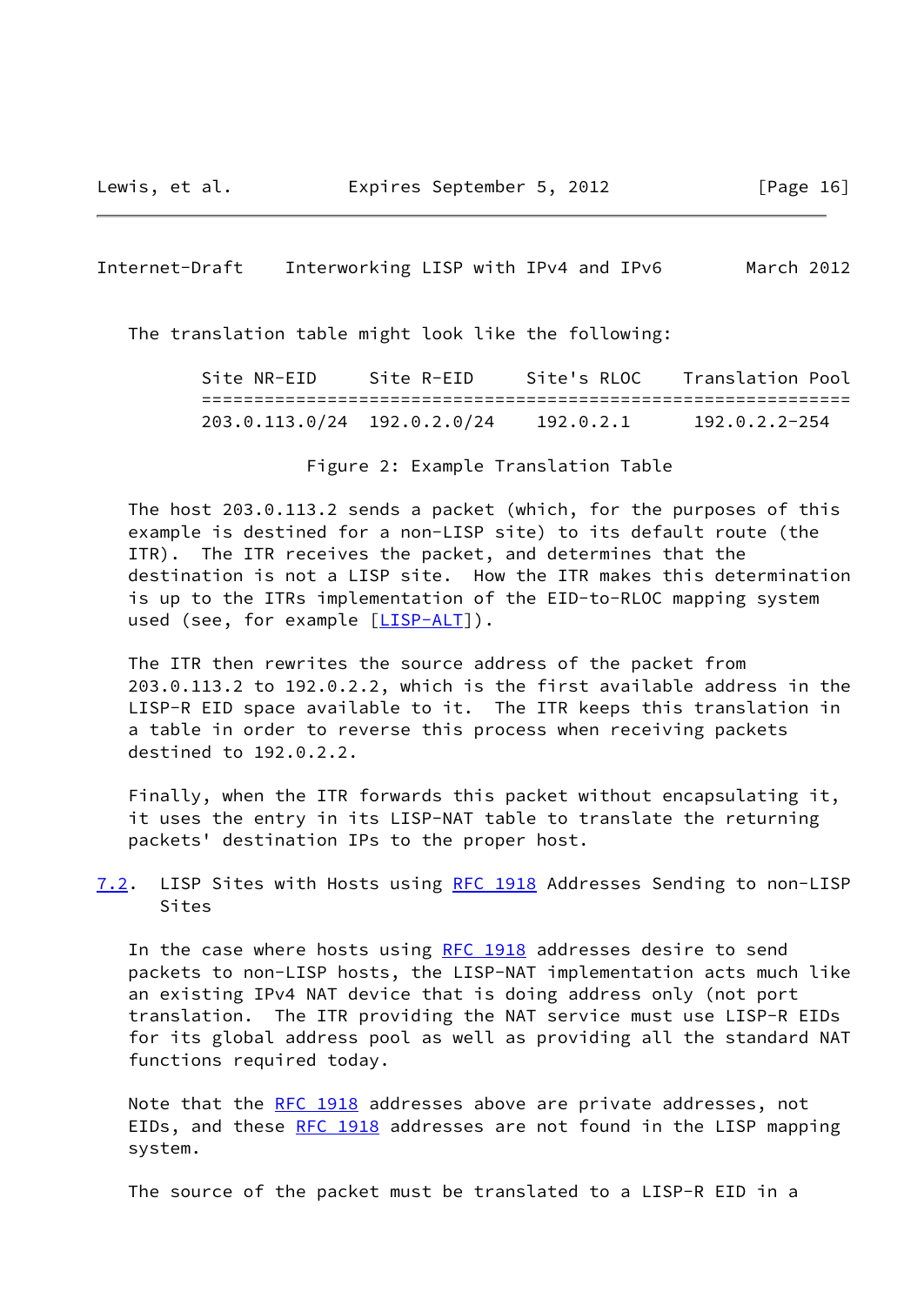<span id="page-18-0"></span>The translation table might look like the following:

 Site NR-EID Site R-EID Site's RLOC Translation Pool ============================================================== 203.0.113.0/24 192.0.2.0/24 192.0.2.1 192.0.2.2-254

Figure 2: Example Translation Table

 The host 203.0.113.2 sends a packet (which, for the purposes of this example is destined for a non-LISP site) to its default route (the ITR). The ITR receives the packet, and determines that the destination is not a LISP site. How the ITR makes this determination is up to the ITRs implementation of the EID-to-RLOC mapping system used (see, for example [\[LISP-ALT](#page-25-5)]).

 The ITR then rewrites the source address of the packet from 203.0.113.2 to 192.0.2.2, which is the first available address in the LISP-R EID space available to it. The ITR keeps this translation in a table in order to reverse this process when receiving packets destined to 192.0.2.2.

 Finally, when the ITR forwards this packet without encapsulating it, it uses the entry in its LISP-NAT table to translate the returning packets' destination IPs to the proper host.

<span id="page-18-1"></span>[7.2](#page-18-1). LISP Sites with Hosts using [RFC 1918](https://datatracker.ietf.org/doc/pdf/rfc1918) Addresses Sending to non-LISP Sites

In the case where hosts using [RFC 1918](https://datatracker.ietf.org/doc/pdf/rfc1918) addresses desire to send packets to non-LISP hosts, the LISP-NAT implementation acts much like an existing IPv4 NAT device that is doing address only (not port translation. The ITR providing the NAT service must use LISP-R EIDs for its global address pool as well as providing all the standard NAT functions required today.

Note that the [RFC 1918](https://datatracker.ietf.org/doc/pdf/rfc1918) addresses above are private addresses, not EIDs, and these [RFC 1918](https://datatracker.ietf.org/doc/pdf/rfc1918) addresses are not found in the LISP mapping system.

The source of the packet must be translated to a LISP-R EID in a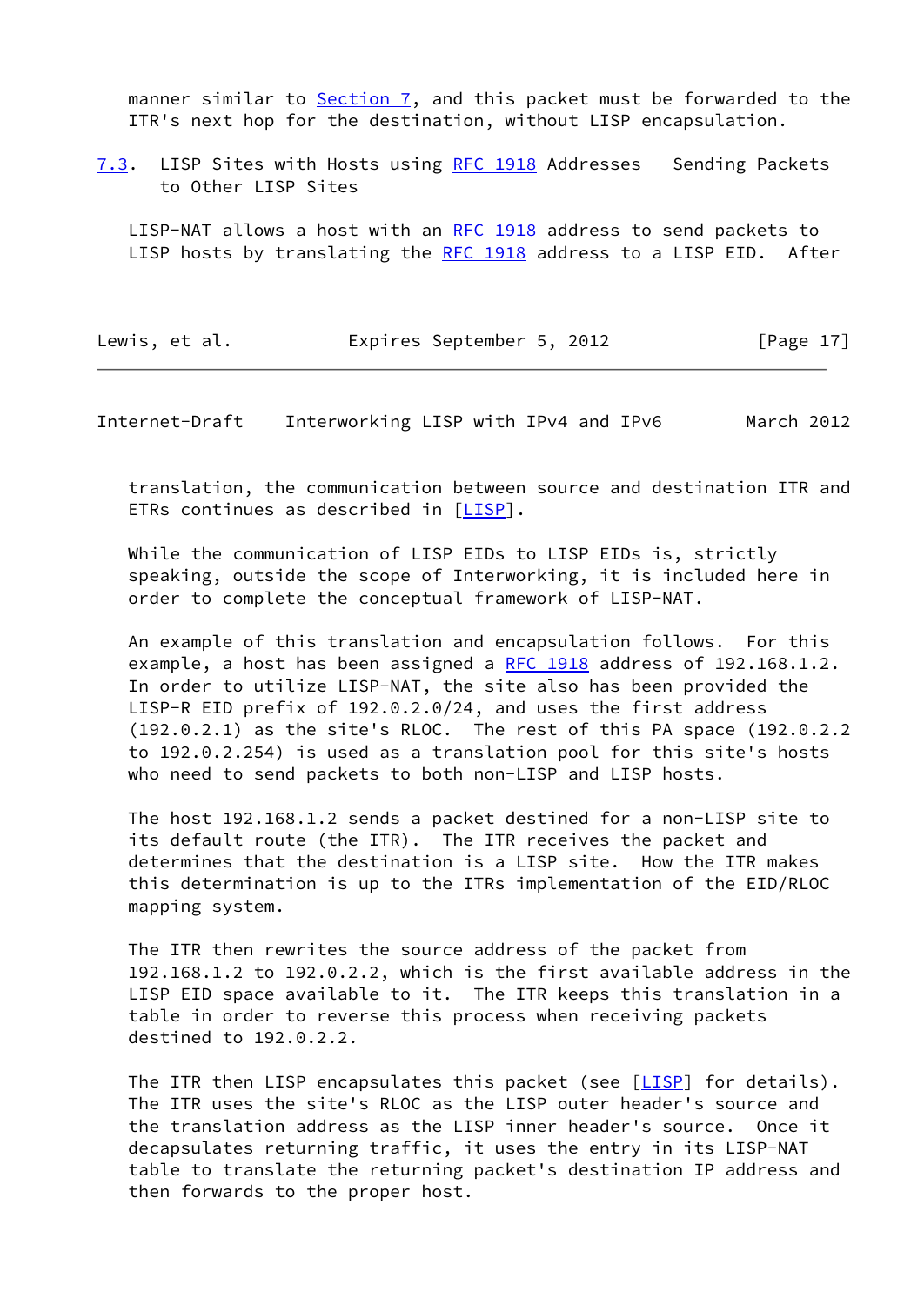manner similar to [Section 7,](#page-17-0) and this packet must be forwarded to the ITR's next hop for the destination, without LISP encapsulation.

<span id="page-19-1"></span>[7.3](#page-19-1). LISP Sites with Hosts using [RFC 1918](https://datatracker.ietf.org/doc/pdf/rfc1918) Addresses Sending Packets to Other LISP Sites

 LISP-NAT allows a host with an [RFC 1918](https://datatracker.ietf.org/doc/pdf/rfc1918) address to send packets to LISP hosts by translating the [RFC 1918](https://datatracker.ietf.org/doc/pdf/rfc1918) address to a LISP EID. After

Lewis, et al. **Expires September 5, 2012** [Page 17]

<span id="page-19-0"></span>Internet-Draft Interworking LISP with IPv4 and IPv6 March 2012

 translation, the communication between source and destination ITR and ETRs continues as described in [\[LISP](#page-25-3)].

 While the communication of LISP EIDs to LISP EIDs is, strictly speaking, outside the scope of Interworking, it is included here in order to complete the conceptual framework of LISP-NAT.

 An example of this translation and encapsulation follows. For this example, a host has been assigned a [RFC 1918](https://datatracker.ietf.org/doc/pdf/rfc1918) address of 192.168.1.2. In order to utilize LISP-NAT, the site also has been provided the LISP-R EID prefix of 192.0.2.0/24, and uses the first address (192.0.2.1) as the site's RLOC. The rest of this PA space (192.0.2.2 to 192.0.2.254) is used as a translation pool for this site's hosts who need to send packets to both non-LISP and LISP hosts.

 The host 192.168.1.2 sends a packet destined for a non-LISP site to its default route (the ITR). The ITR receives the packet and determines that the destination is a LISP site. How the ITR makes this determination is up to the ITRs implementation of the EID/RLOC mapping system.

 The ITR then rewrites the source address of the packet from 192.168.1.2 to 192.0.2.2, which is the first available address in the LISP EID space available to it. The ITR keeps this translation in a table in order to reverse this process when receiving packets destined to 192.0.2.2.

 The ITR then LISP encapsulates this packet (see [\[LISP](#page-25-3)] for details). The ITR uses the site's RLOC as the LISP outer header's source and the translation address as the LISP inner header's source. Once it decapsulates returning traffic, it uses the entry in its LISP-NAT table to translate the returning packet's destination IP address and then forwards to the proper host.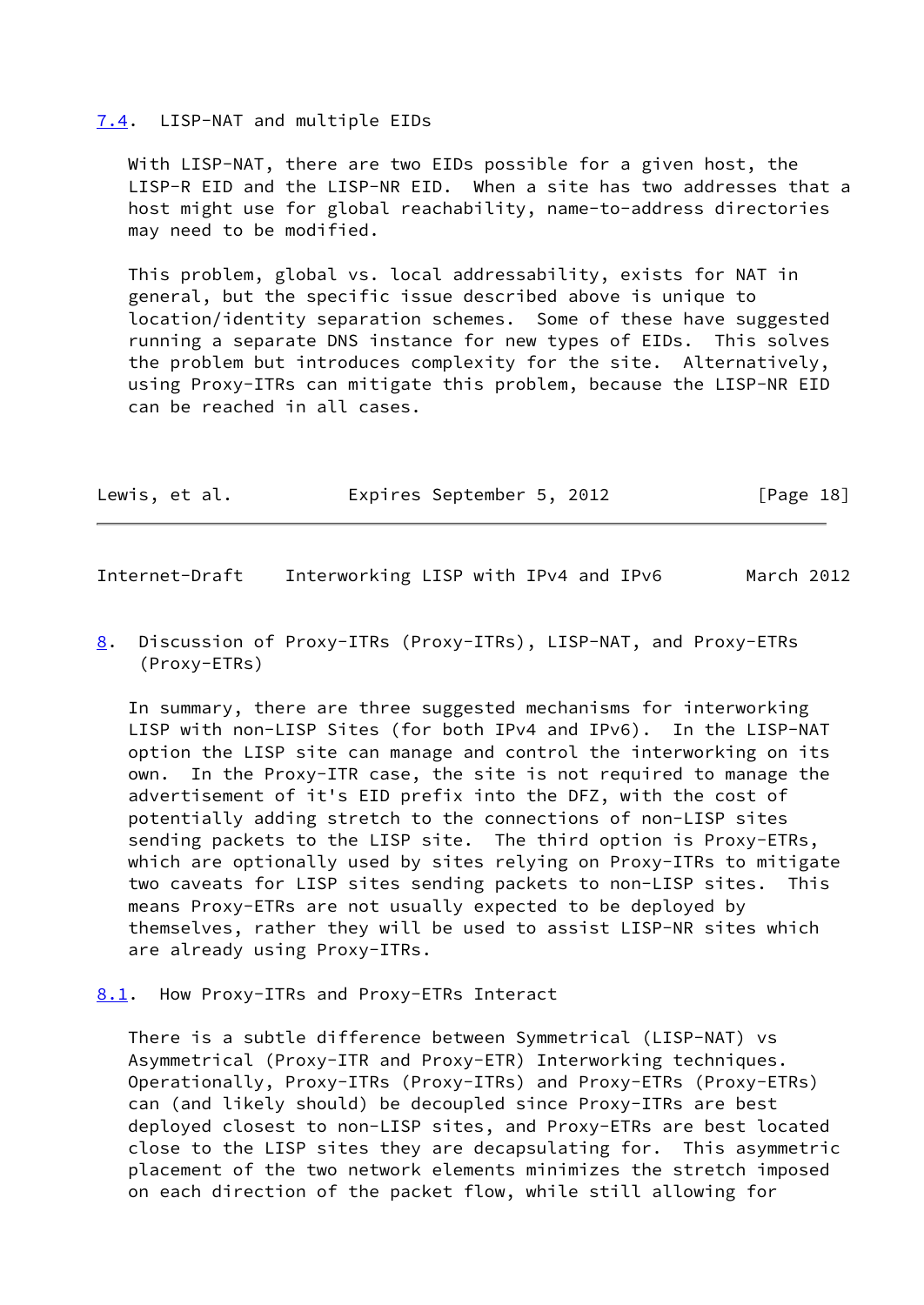#### <span id="page-20-0"></span>[7.4](#page-20-0). LISP-NAT and multiple EIDs

 With LISP-NAT, there are two EIDs possible for a given host, the LISP-R EID and the LISP-NR EID. When a site has two addresses that a host might use for global reachability, name-to-address directories may need to be modified.

 This problem, global vs. local addressability, exists for NAT in general, but the specific issue described above is unique to location/identity separation schemes. Some of these have suggested running a separate DNS instance for new types of EIDs. This solves the problem but introduces complexity for the site. Alternatively, using Proxy-ITRs can mitigate this problem, because the LISP-NR EID can be reached in all cases.

| Lewis, et al. | Expires September 5, 2012 |  | [Page 18] |
|---------------|---------------------------|--|-----------|
|---------------|---------------------------|--|-----------|

- <span id="page-20-1"></span>Internet-Draft Interworking LISP with IPv4 and IPv6 March 2012
- <span id="page-20-3"></span>[8](#page-20-3). Discussion of Proxy-ITRs (Proxy-ITRs), LISP-NAT, and Proxy-ETRs (Proxy-ETRs)

 In summary, there are three suggested mechanisms for interworking LISP with non-LISP Sites (for both IPv4 and IPv6). In the LISP-NAT option the LISP site can manage and control the interworking on its own. In the Proxy-ITR case, the site is not required to manage the advertisement of it's EID prefix into the DFZ, with the cost of potentially adding stretch to the connections of non-LISP sites sending packets to the LISP site. The third option is Proxy-ETRs, which are optionally used by sites relying on Proxy-ITRs to mitigate two caveats for LISP sites sending packets to non-LISP sites. This means Proxy-ETRs are not usually expected to be deployed by themselves, rather they will be used to assist LISP-NR sites which are already using Proxy-ITRs.

<span id="page-20-2"></span>[8.1](#page-20-2). How Proxy-ITRs and Proxy-ETRs Interact

 There is a subtle difference between Symmetrical (LISP-NAT) vs Asymmetrical (Proxy-ITR and Proxy-ETR) Interworking techniques. Operationally, Proxy-ITRs (Proxy-ITRs) and Proxy-ETRs (Proxy-ETRs) can (and likely should) be decoupled since Proxy-ITRs are best deployed closest to non-LISP sites, and Proxy-ETRs are best located close to the LISP sites they are decapsulating for. This asymmetric placement of the two network elements minimizes the stretch imposed on each direction of the packet flow, while still allowing for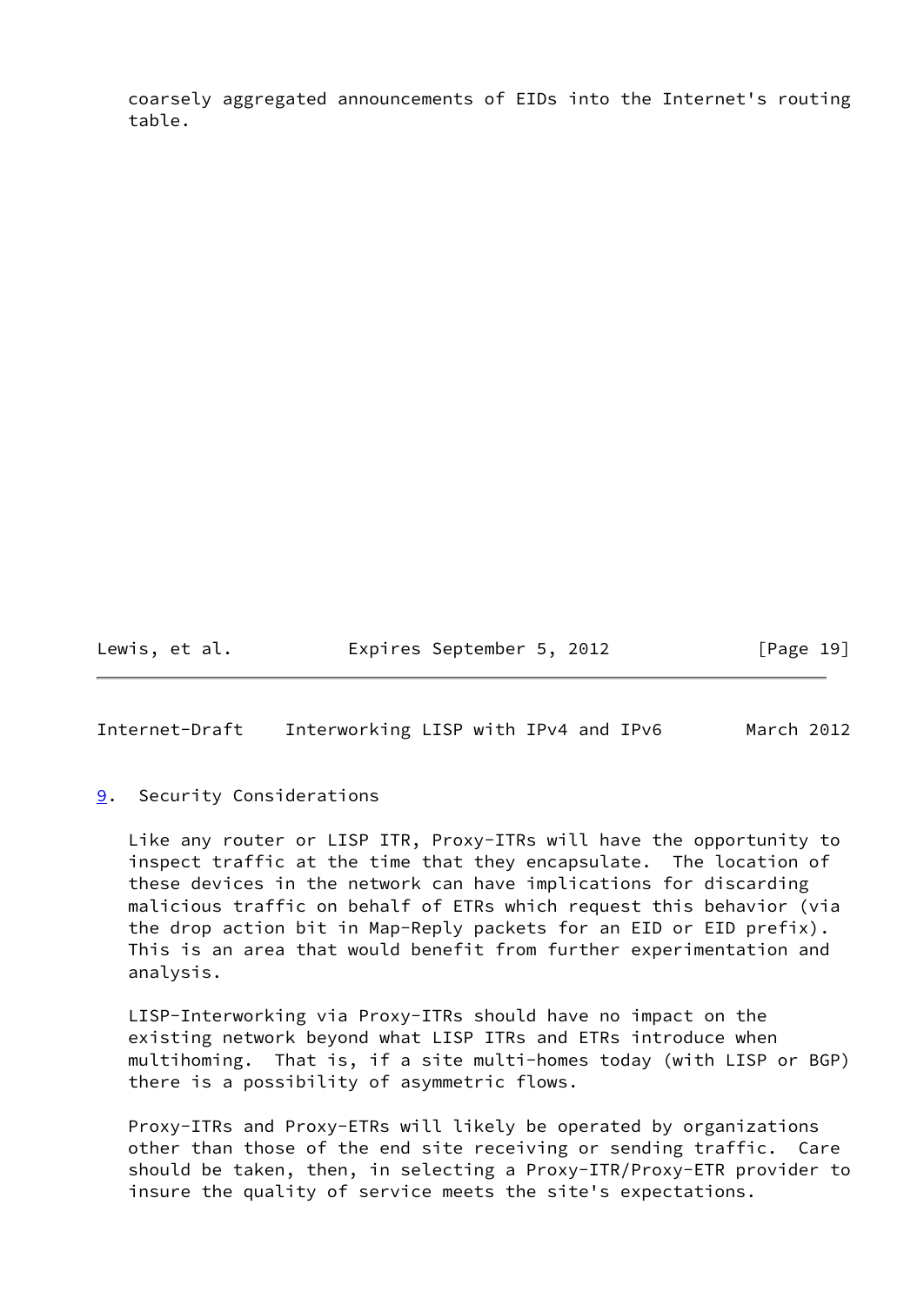coarsely aggregated announcements of EIDs into the Internet's routing table.

Lewis, et al. **Expires September 5, 2012** [Page 19]

<span id="page-21-1"></span>Internet-Draft Interworking LISP with IPv4 and IPv6 March 2012

#### <span id="page-21-0"></span>[9](#page-21-0). Security Considerations

 Like any router or LISP ITR, Proxy-ITRs will have the opportunity to inspect traffic at the time that they encapsulate. The location of these devices in the network can have implications for discarding malicious traffic on behalf of ETRs which request this behavior (via the drop action bit in Map-Reply packets for an EID or EID prefix). This is an area that would benefit from further experimentation and analysis.

 LISP-Interworking via Proxy-ITRs should have no impact on the existing network beyond what LISP ITRs and ETRs introduce when multihoming. That is, if a site multi-homes today (with LISP or BGP) there is a possibility of asymmetric flows.

 Proxy-ITRs and Proxy-ETRs will likely be operated by organizations other than those of the end site receiving or sending traffic. Care should be taken, then, in selecting a Proxy-ITR/Proxy-ETR provider to insure the quality of service meets the site's expectations.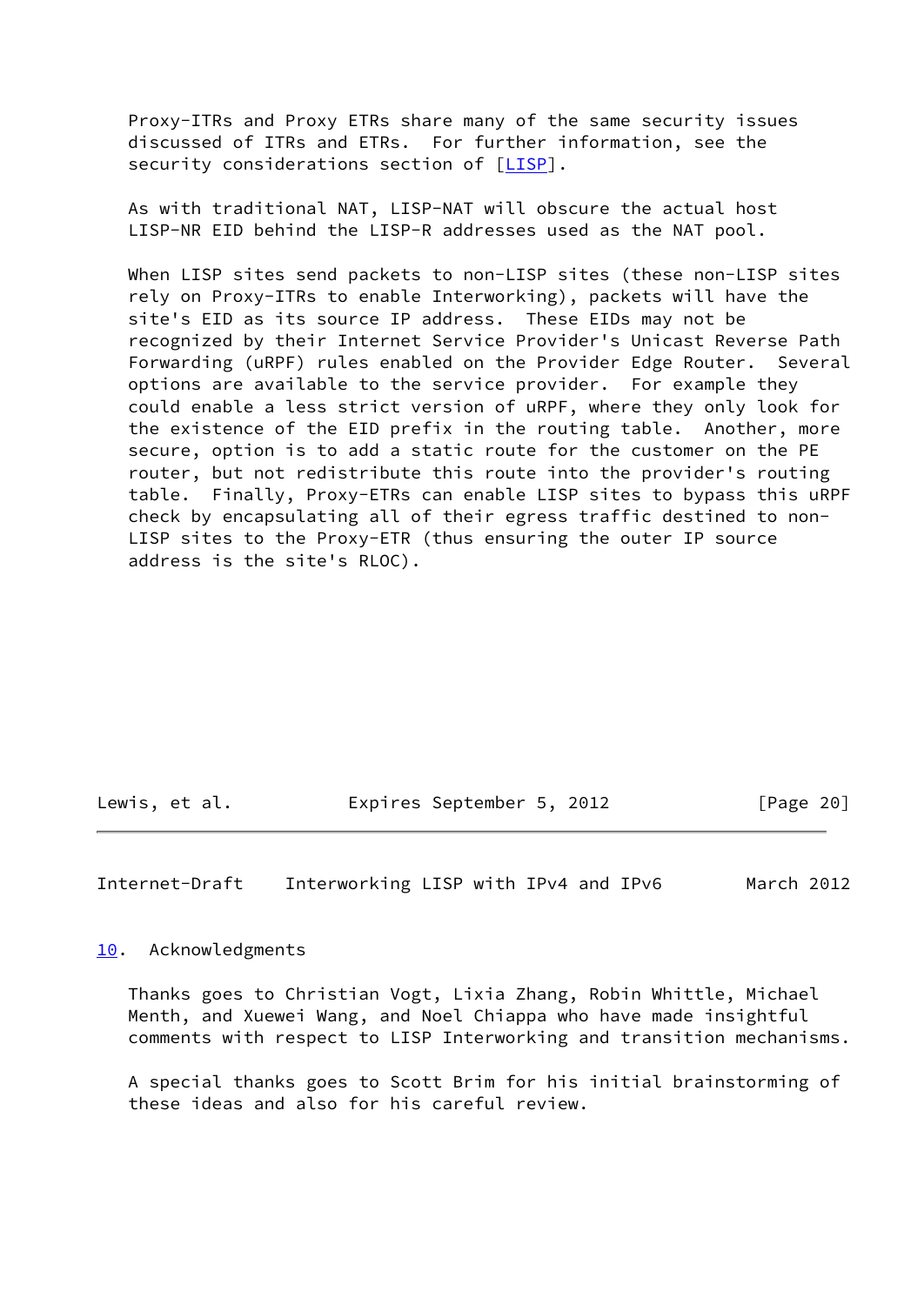Proxy-ITRs and Proxy ETRs share many of the same security issues discussed of ITRs and ETRs. For further information, see the security considerations section of [[LISP\]](#page-25-3).

 As with traditional NAT, LISP-NAT will obscure the actual host LISP-NR EID behind the LISP-R addresses used as the NAT pool.

 When LISP sites send packets to non-LISP sites (these non-LISP sites rely on Proxy-ITRs to enable Interworking), packets will have the site's EID as its source IP address. These EIDs may not be recognized by their Internet Service Provider's Unicast Reverse Path Forwarding (uRPF) rules enabled on the Provider Edge Router. Several options are available to the service provider. For example they could enable a less strict version of uRPF, where they only look for the existence of the EID prefix in the routing table. Another, more secure, option is to add a static route for the customer on the PE router, but not redistribute this route into the provider's routing table. Finally, Proxy-ETRs can enable LISP sites to bypass this uRPF check by encapsulating all of their egress traffic destined to non- LISP sites to the Proxy-ETR (thus ensuring the outer IP source address is the site's RLOC).

Lewis, et al. Expires September 5, 2012 [Page 20]

<span id="page-22-1"></span>Internet-Draft Interworking LISP with IPv4 and IPv6 March 2012

<span id="page-22-0"></span>[10.](#page-22-0) Acknowledgments

 Thanks goes to Christian Vogt, Lixia Zhang, Robin Whittle, Michael Menth, and Xuewei Wang, and Noel Chiappa who have made insightful comments with respect to LISP Interworking and transition mechanisms.

 A special thanks goes to Scott Brim for his initial brainstorming of these ideas and also for his careful review.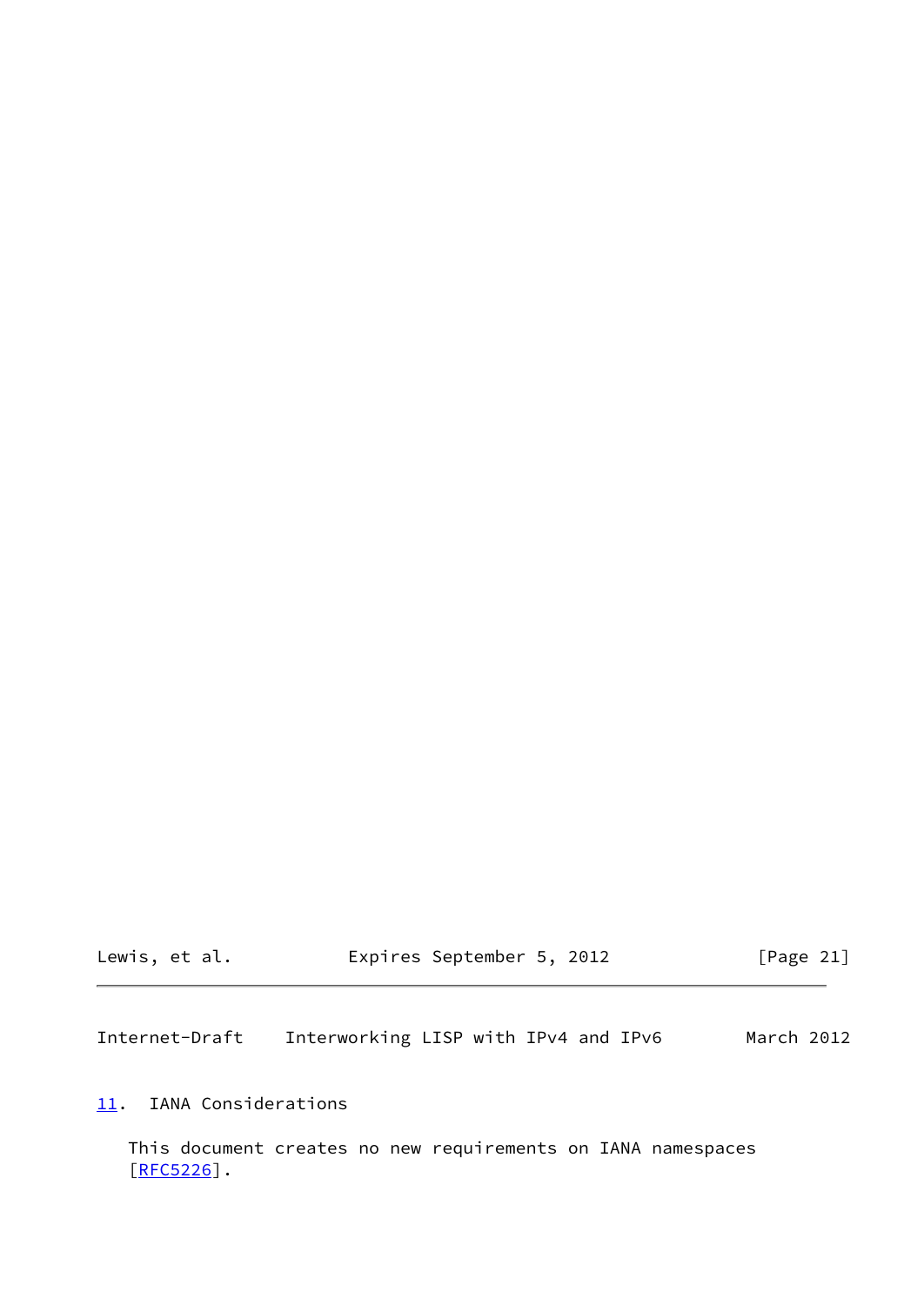<span id="page-23-1"></span>

| Lewis, et al. | Expires September 5, 2012 |  | [Page 21] |
|---------------|---------------------------|--|-----------|
|---------------|---------------------------|--|-----------|

## <span id="page-23-0"></span>[11.](#page-23-0) IANA Considerations

 This document creates no new requirements on IANA namespaces [\[RFC5226](https://datatracker.ietf.org/doc/pdf/rfc5226)].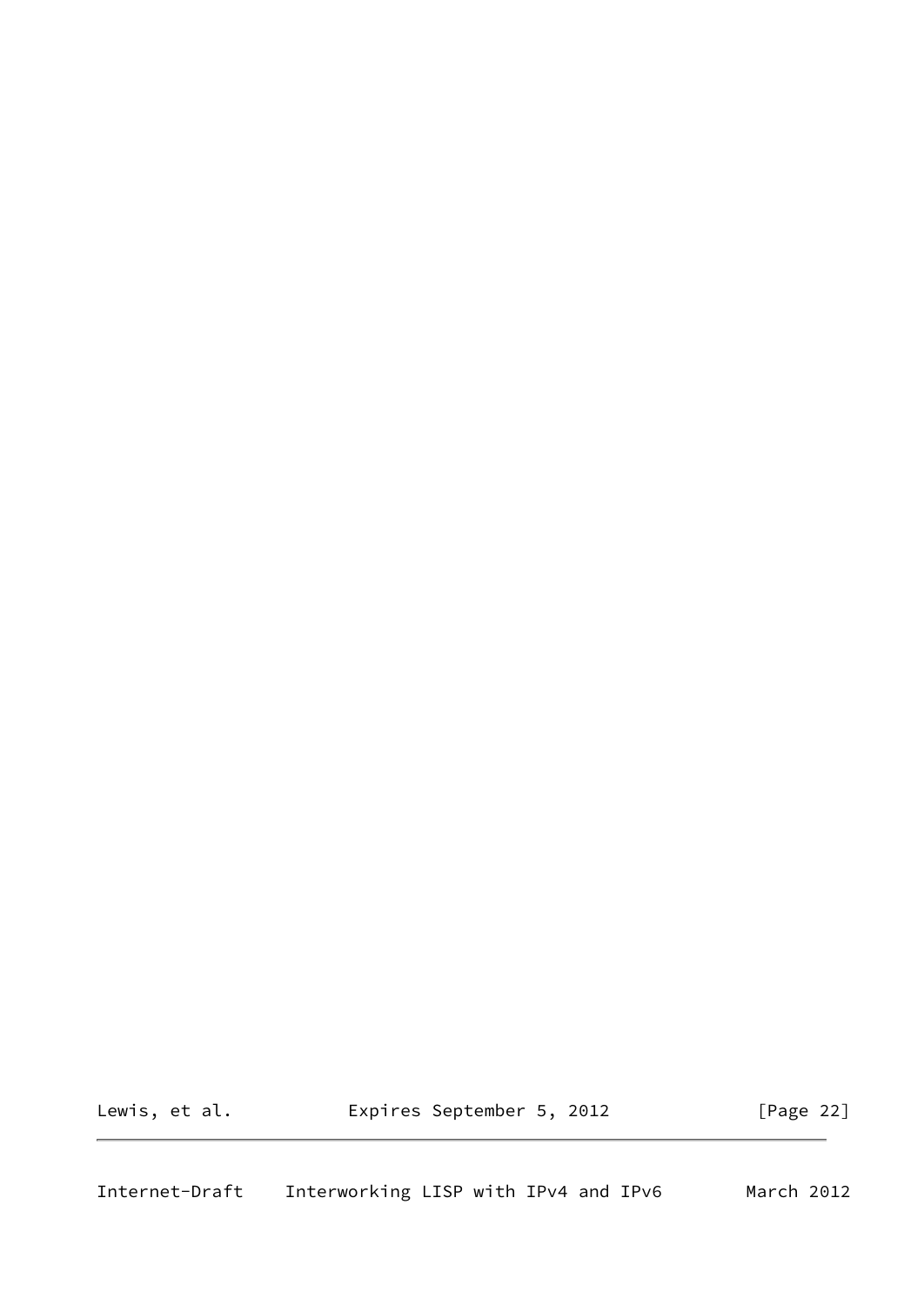Lewis, et al. **Expires September 5, 2012** [Page 22]

<span id="page-24-0"></span>Internet-Draft Interworking LISP with IPv4 and IPv6 March 2012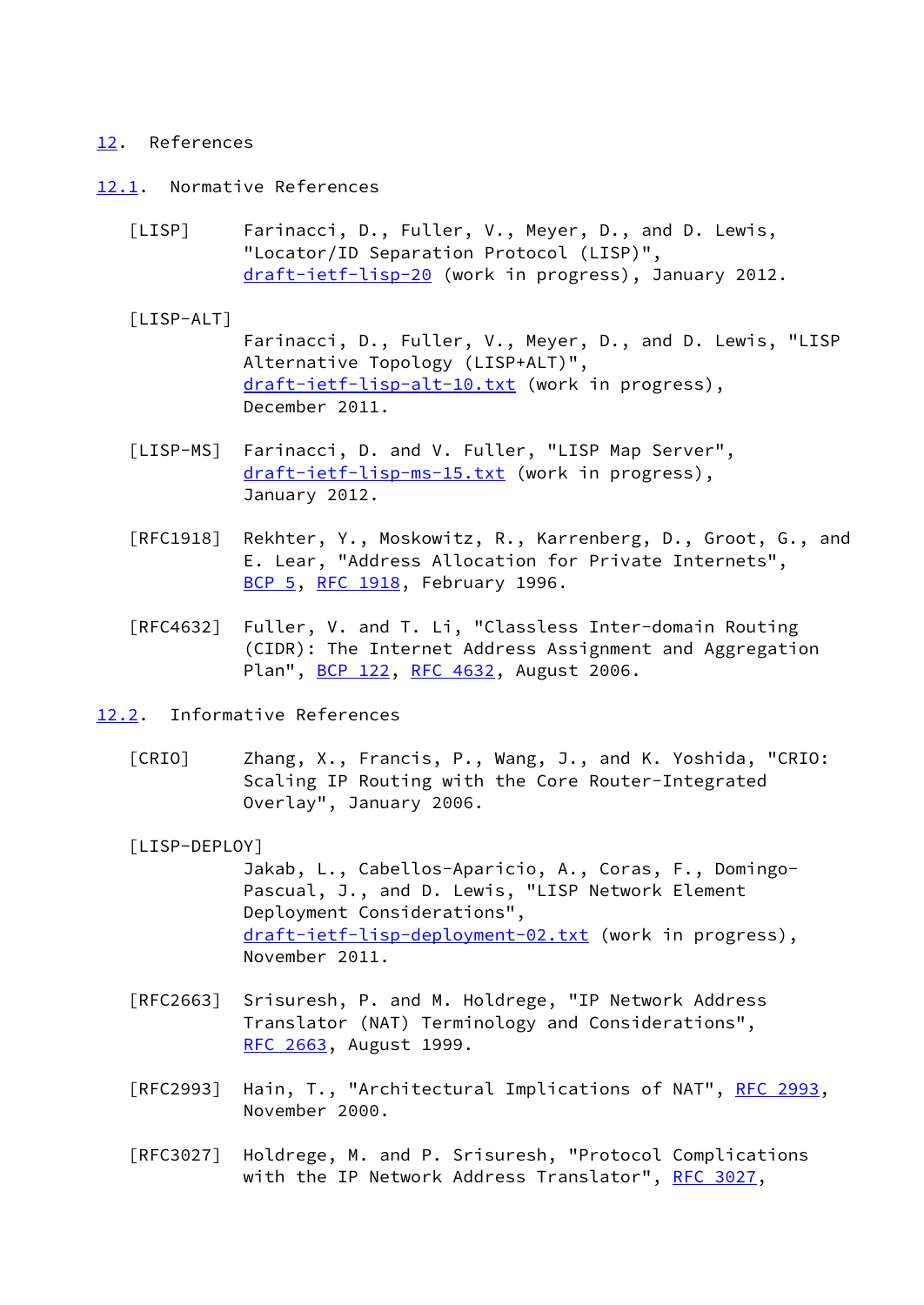#### <span id="page-25-0"></span>[12.](#page-25-0) References

- <span id="page-25-5"></span><span id="page-25-3"></span><span id="page-25-1"></span>[12.1](#page-25-1). Normative References
	- [LISP] Farinacci, D., Fuller, V., Meyer, D., and D. Lewis, "Locator/ID Separation Protocol (LISP)", [draft-ietf-lisp-20](https://datatracker.ietf.org/doc/pdf/draft-ietf-lisp-20) (work in progress), January 2012.
	- [LISP-ALT]
		- Farinacci, D., Fuller, V., Meyer, D., and D. Lewis, "LISP Alternative Topology (LISP+ALT)", [draft-ietf-lisp-alt-10.txt](https://datatracker.ietf.org/doc/pdf/draft-ietf-lisp-alt-10.txt) (work in progress), December 2011.
	- [LISP-MS] Farinacci, D. and V. Fuller, "LISP Map Server", [draft-ietf-lisp-ms-15.txt](https://datatracker.ietf.org/doc/pdf/draft-ietf-lisp-ms-15.txt) (work in progress), January 2012.
	- [RFC1918] Rekhter, Y., Moskowitz, R., Karrenberg, D., Groot, G., and E. Lear, "Address Allocation for Private Internets", [BCP 5,](https://datatracker.ietf.org/doc/pdf/bcp5) [RFC 1918](https://datatracker.ietf.org/doc/pdf/rfc1918), February 1996.
	- [RFC4632] Fuller, V. and T. Li, "Classless Inter-domain Routing (CIDR): The Internet Address Assignment and Aggregation Plan", [BCP 122](https://datatracker.ietf.org/doc/pdf/bcp122), [RFC 4632,](https://datatracker.ietf.org/doc/pdf/rfc4632) August 2006.
- <span id="page-25-4"></span><span id="page-25-2"></span>[12.2](#page-25-2). Informative References
	- [CRIO] Zhang, X., Francis, P., Wang, J., and K. Yoshida, "CRIO: Scaling IP Routing with the Core Router-Integrated Overlay", January 2006.

#### [LISP-DEPLOY]

 Jakab, L., Cabellos-Aparicio, A., Coras, F., Domingo- Pascual, J., and D. Lewis, "LISP Network Element Deployment Considerations", [draft-ietf-lisp-deployment-02.txt](https://datatracker.ietf.org/doc/pdf/draft-ietf-lisp-deployment-02.txt) (work in progress), November 2011.

- [RFC2663] Srisuresh, P. and M. Holdrege, "IP Network Address Translator (NAT) Terminology and Considerations", [RFC 2663,](https://datatracker.ietf.org/doc/pdf/rfc2663) August 1999.
- [RFC2993] Hain, T., "Architectural Implications of NAT", [RFC 2993](https://datatracker.ietf.org/doc/pdf/rfc2993), November 2000.
- [RFC3027] Holdrege, M. and P. Srisuresh, "Protocol Complications with the IP Network Address Translator", [RFC 3027,](https://datatracker.ietf.org/doc/pdf/rfc3027)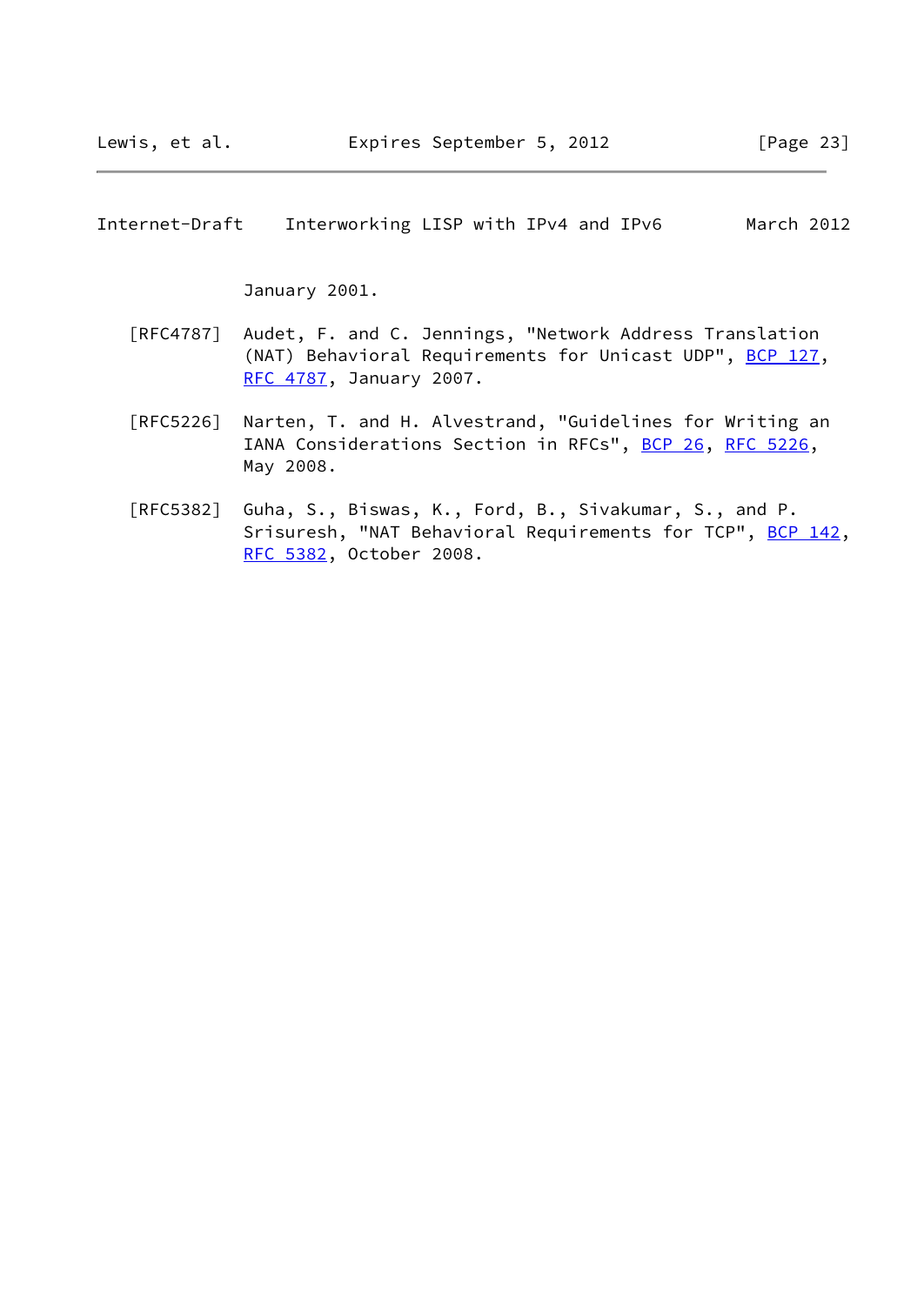January 2001.

- [RFC4787] Audet, F. and C. Jennings, "Network Address Translation (NAT) Behavioral Requirements for Unicast UDP", [BCP 127](https://datatracker.ietf.org/doc/pdf/bcp127), [RFC 4787,](https://datatracker.ietf.org/doc/pdf/rfc4787) January 2007.
- [RFC5226] Narten, T. and H. Alvestrand, "Guidelines for Writing an IANA Considerations Section in RFCs", [BCP 26](https://datatracker.ietf.org/doc/pdf/bcp26), [RFC 5226](https://datatracker.ietf.org/doc/pdf/rfc5226), May 2008.
- [RFC5382] Guha, S., Biswas, K., Ford, B., Sivakumar, S., and P. Srisuresh, "NAT Behavioral Requirements for TCP", [BCP 142](https://datatracker.ietf.org/doc/pdf/bcp142), [RFC 5382,](https://datatracker.ietf.org/doc/pdf/rfc5382) October 2008.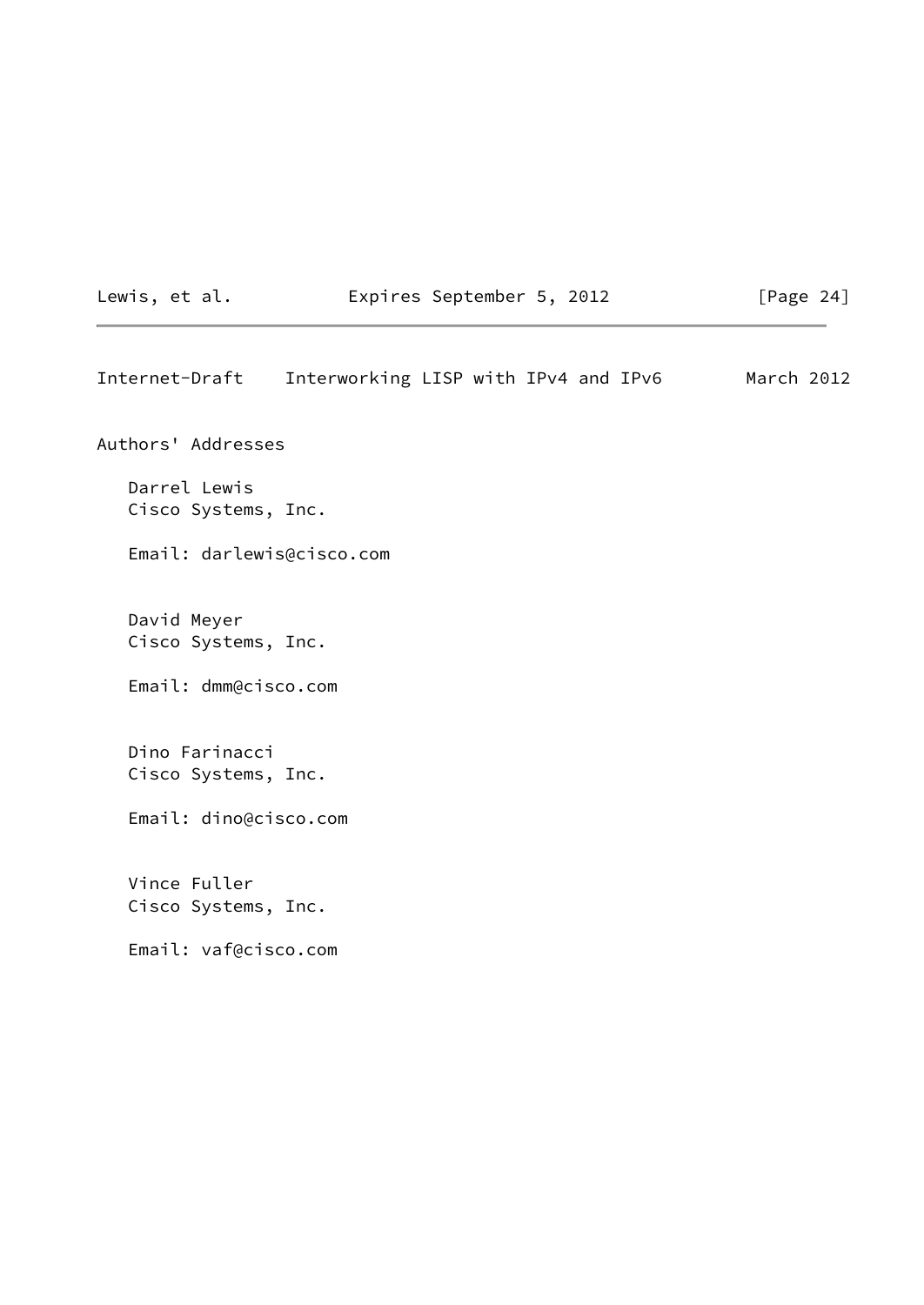Lewis, et al. **Expires September 5, 2012** [Page 24]

<span id="page-27-0"></span>Internet-Draft Interworking LISP with IPv4 and IPv6 March 2012 Authors' Addresses Darrel Lewis Cisco Systems, Inc. Email: darlewis@cisco.com David Meyer Cisco Systems, Inc. Email: dmm@cisco.com Dino Farinacci Cisco Systems, Inc. Email: dino@cisco.com Vince Fuller Cisco Systems, Inc. Email: vaf@cisco.com